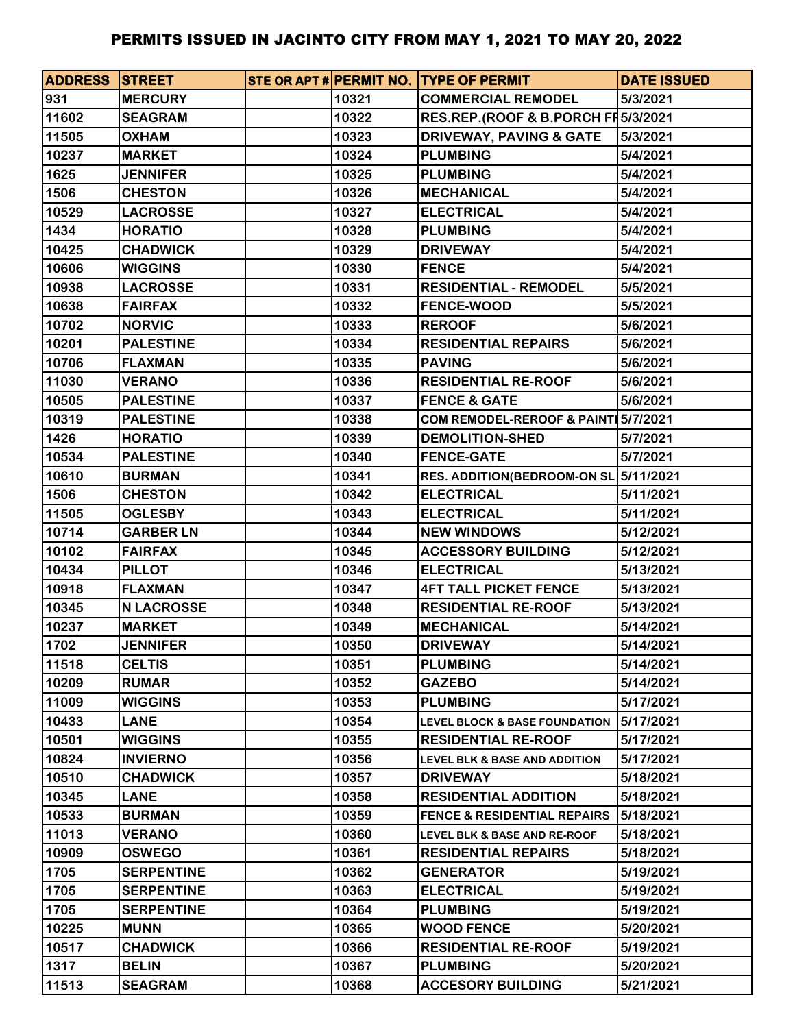| <b>ADDRESS STREET</b> |                   |       | STE OR APT # PERMIT NO. TYPE OF PERMIT   | <b>DATE ISSUED</b> |
|-----------------------|-------------------|-------|------------------------------------------|--------------------|
| 931                   | <b>MERCURY</b>    | 10321 | <b>COMMERCIAL REMODEL</b>                | 5/3/2021           |
| 11602                 | <b>SEAGRAM</b>    | 10322 | RES.REP.(ROOF & B.PORCH FI 5/3/2021      |                    |
| 11505                 | <b>OXHAM</b>      | 10323 | <b>DRIVEWAY, PAVING &amp; GATE</b>       | 5/3/2021           |
| 10237                 | <b>MARKET</b>     | 10324 | <b>PLUMBING</b>                          | 5/4/2021           |
| 1625                  | <b>JENNIFER</b>   | 10325 | <b>PLUMBING</b>                          | 5/4/2021           |
| 1506                  | <b>CHESTON</b>    | 10326 | <b>MECHANICAL</b>                        | 5/4/2021           |
| 10529                 | <b>LACROSSE</b>   | 10327 | <b>ELECTRICAL</b>                        | 5/4/2021           |
| 1434                  | <b>HORATIO</b>    | 10328 | <b>PLUMBING</b>                          | 5/4/2021           |
| 10425                 | <b>CHADWICK</b>   | 10329 | <b>DRIVEWAY</b>                          | 5/4/2021           |
| 10606                 | <b>WIGGINS</b>    | 10330 | <b>FENCE</b>                             | 5/4/2021           |
| 10938                 | <b>LACROSSE</b>   | 10331 | <b>RESIDENTIAL - REMODEL</b>             | 5/5/2021           |
| 10638                 | <b>FAIRFAX</b>    | 10332 | <b>FENCE-WOOD</b>                        | 5/5/2021           |
| 10702                 | <b>NORVIC</b>     | 10333 | <b>REROOF</b>                            | 5/6/2021           |
| 10201                 | <b>PALESTINE</b>  | 10334 | <b>RESIDENTIAL REPAIRS</b>               | 5/6/2021           |
| 10706                 | <b>FLAXMAN</b>    | 10335 | <b>PAVING</b>                            | 5/6/2021           |
| 11030                 | <b>VERANO</b>     | 10336 | <b>RESIDENTIAL RE-ROOF</b>               | 5/6/2021           |
| 10505                 | <b>PALESTINE</b>  | 10337 | <b>FENCE &amp; GATE</b>                  | 5/6/2021           |
| 10319                 | <b>PALESTINE</b>  | 10338 | COM REMODEL-REROOF & PAINT 5/7/2021      |                    |
| 1426                  | <b>HORATIO</b>    | 10339 | <b>DEMOLITION-SHED</b>                   | 5/7/2021           |
| 10534                 | <b>PALESTINE</b>  | 10340 | <b>FENCE-GATE</b>                        | 5/7/2021           |
| 10610                 | <b>BURMAN</b>     | 10341 | RES. ADDITION(BEDROOM-ON SL 5/11/2021    |                    |
| 1506                  | <b>CHESTON</b>    | 10342 | <b>ELECTRICAL</b>                        | 5/11/2021          |
| 11505                 | <b>OGLESBY</b>    | 10343 | <b>ELECTRICAL</b>                        | 5/11/2021          |
| 10714                 | <b>GARBER LN</b>  | 10344 | <b>NEW WINDOWS</b>                       | 5/12/2021          |
| 10102                 | <b>FAIRFAX</b>    | 10345 | <b>ACCESSORY BUILDING</b>                | 5/12/2021          |
| 10434                 | <b>PILLOT</b>     | 10346 | <b>ELECTRICAL</b>                        | 5/13/2021          |
| 10918                 | <b>FLAXMAN</b>    | 10347 | <b>4FT TALL PICKET FENCE</b>             | 5/13/2021          |
| 10345                 | <b>N LACROSSE</b> | 10348 | <b>RESIDENTIAL RE-ROOF</b>               | 5/13/2021          |
| 10237                 | <b>MARKET</b>     | 10349 | <b>MECHANICAL</b>                        | 5/14/2021          |
| 1702                  | <b>JENNIFER</b>   | 10350 | <b>DRIVEWAY</b>                          | 5/14/2021          |
| 11518                 | <b>CELTIS</b>     | 10351 | <b>PLUMBING</b>                          | 5/14/2021          |
| 10209                 | <b>RUMAR</b>      | 10352 | <b>GAZEBO</b>                            | 5/14/2021          |
| 11009                 | <b>WIGGINS</b>    | 10353 | <b>PLUMBING</b>                          | 5/17/2021          |
| 10433                 | <b>LANE</b>       | 10354 | <b>LEVEL BLOCK &amp; BASE FOUNDATION</b> | 5/17/2021          |
| 10501                 | <b>WIGGINS</b>    | 10355 | <b>RESIDENTIAL RE-ROOF</b>               | 5/17/2021          |
| 10824                 | <b>INVIERNO</b>   | 10356 | <b>LEVEL BLK &amp; BASE AND ADDITION</b> | 5/17/2021          |
| 10510                 | <b>CHADWICK</b>   | 10357 | <b>DRIVEWAY</b>                          | 5/18/2021          |
| 10345                 | <b>LANE</b>       | 10358 | <b>RESIDENTIAL ADDITION</b>              | 5/18/2021          |
| 10533                 | <b>BURMAN</b>     | 10359 | <b>FENCE &amp; RESIDENTIAL REPAIRS</b>   | 5/18/2021          |
| 11013                 | <b>VERANO</b>     | 10360 | LEVEL BLK & BASE AND RE-ROOF             | 5/18/2021          |
| 10909                 | <b>OSWEGO</b>     | 10361 | <b>RESIDENTIAL REPAIRS</b>               | 5/18/2021          |
| 1705                  | <b>SERPENTINE</b> | 10362 | <b>GENERATOR</b>                         | 5/19/2021          |
| 1705                  | <b>SERPENTINE</b> | 10363 | <b>ELECTRICAL</b>                        | 5/19/2021          |
| 1705                  | <b>SERPENTINE</b> | 10364 | <b>PLUMBING</b>                          | 5/19/2021          |
| 10225                 | <b>MUNN</b>       | 10365 | <b>WOOD FENCE</b>                        | 5/20/2021          |
| 10517                 | <b>CHADWICK</b>   | 10366 | <b>RESIDENTIAL RE-ROOF</b>               | 5/19/2021          |
| 1317                  | <b>BELIN</b>      | 10367 | <b>PLUMBING</b>                          | 5/20/2021          |
| 11513                 | <b>SEAGRAM</b>    | 10368 | <b>ACCESORY BUILDING</b>                 | 5/21/2021          |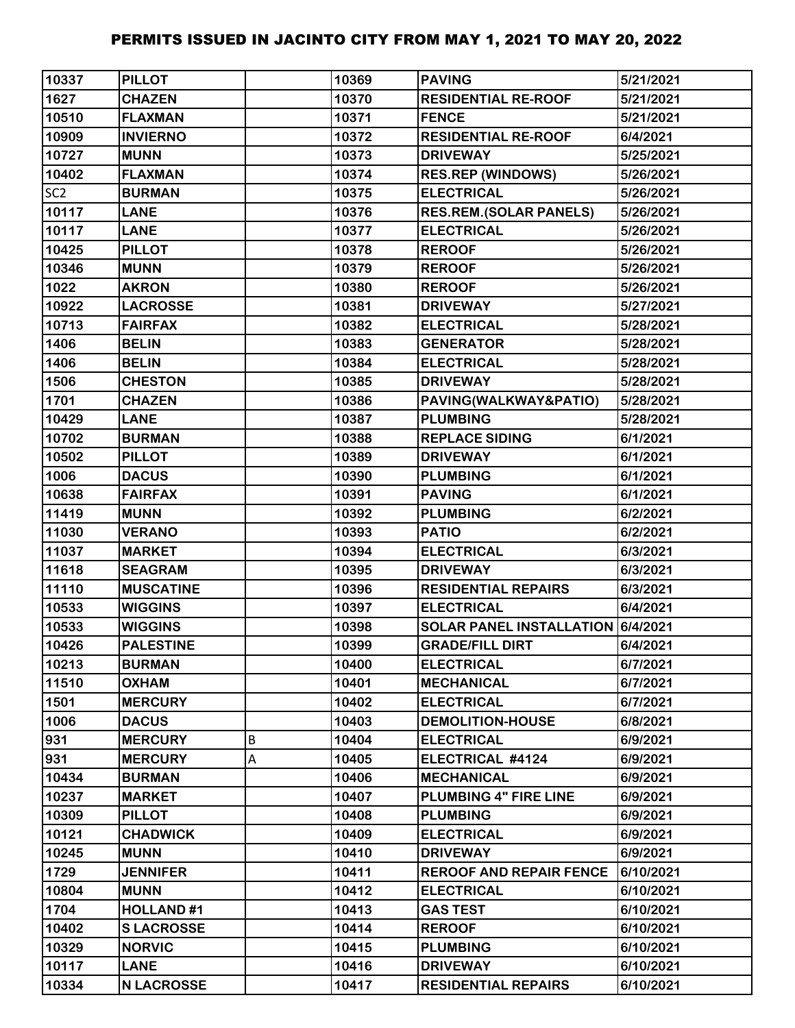| 10337           | <b>PILLOT</b>     |   | 10369 | <b>PAVING</b>                     | 5/21/2021 |
|-----------------|-------------------|---|-------|-----------------------------------|-----------|
| 1627            | <b>CHAZEN</b>     |   | 10370 | <b>RESIDENTIAL RE-ROOF</b>        | 5/21/2021 |
| 10510           | <b>FLAXMAN</b>    |   | 10371 | <b>FENCE</b>                      | 5/21/2021 |
| 10909           | <b>INVIERNO</b>   |   | 10372 | <b>RESIDENTIAL RE-ROOF</b>        | 6/4/2021  |
| 10727           | <b>MUNN</b>       |   | 10373 | <b>DRIVEWAY</b>                   | 5/25/2021 |
| 10402           | <b>FLAXMAN</b>    |   | 10374 | <b>RES.REP (WINDOWS)</b>          | 5/26/2021 |
| SC <sub>2</sub> | <b>BURMAN</b>     |   | 10375 | <b>ELECTRICAL</b>                 | 5/26/2021 |
| 10117           | <b>LANE</b>       |   | 10376 | <b>RES.REM.(SOLAR PANELS)</b>     | 5/26/2021 |
| 10117           | <b>LANE</b>       |   | 10377 | <b>ELECTRICAL</b>                 | 5/26/2021 |
| 10425           | <b>PILLOT</b>     |   | 10378 | <b>REROOF</b>                     | 5/26/2021 |
| 10346           | <b>MUNN</b>       |   | 10379 | <b>REROOF</b>                     | 5/26/2021 |
| 1022            | <b>AKRON</b>      |   | 10380 | <b>REROOF</b>                     | 5/26/2021 |
| 10922           | <b>LACROSSE</b>   |   | 10381 | <b>DRIVEWAY</b>                   | 5/27/2021 |
| 10713           | <b>FAIRFAX</b>    |   | 10382 | <b>ELECTRICAL</b>                 | 5/28/2021 |
| 1406            | <b>BELIN</b>      |   | 10383 | <b>GENERATOR</b>                  | 5/28/2021 |
| 1406            | <b>BELIN</b>      |   | 10384 | <b>ELECTRICAL</b>                 | 5/28/2021 |
| 1506            | <b>CHESTON</b>    |   | 10385 | <b>DRIVEWAY</b>                   | 5/28/2021 |
| 1701            | <b>CHAZEN</b>     |   | 10386 | PAVING(WALKWAY&PATIO)             | 5/28/2021 |
| 10429           | <b>LANE</b>       |   | 10387 | <b>PLUMBING</b>                   | 5/28/2021 |
| 10702           | <b>BURMAN</b>     |   | 10388 | <b>REPLACE SIDING</b>             | 6/1/2021  |
| 10502           | <b>PILLOT</b>     |   | 10389 | <b>DRIVEWAY</b>                   | 6/1/2021  |
| 1006            | <b>DACUS</b>      |   | 10390 | <b>PLUMBING</b>                   | 6/1/2021  |
| 10638           | <b>FAIRFAX</b>    |   | 10391 | <b>PAVING</b>                     | 6/1/2021  |
| 11419           | <b>MUNN</b>       |   | 10392 | <b>PLUMBING</b>                   | 6/2/2021  |
| 11030           | <b>VERANO</b>     |   | 10393 | <b>PATIO</b>                      | 6/2/2021  |
| 11037           | <b>MARKET</b>     |   | 10394 | <b>ELECTRICAL</b>                 | 6/3/2021  |
| 11618           | <b>SEAGRAM</b>    |   | 10395 | <b>DRIVEWAY</b>                   | 6/3/2021  |
| 11110           | <b>MUSCATINE</b>  |   | 10396 | <b>RESIDENTIAL REPAIRS</b>        | 6/3/2021  |
| 10533           | <b>WIGGINS</b>    |   | 10397 | <b>ELECTRICAL</b>                 | 6/4/2021  |
| 10533           | <b>WIGGINS</b>    |   | 10398 | SOLAR PANEL INSTALLATION 6/4/2021 |           |
| 10426           | <b>PALESTINE</b>  |   | 10399 | <b>GRADE/FILL DIRT</b>            | 6/4/2021  |
| 10213           | <b>BURMAN</b>     |   | 10400 | <b>ELECTRICAL</b>                 | 6/7/2021  |
| 11510           | <b>OXHAM</b>      |   | 10401 | <b>MECHANICAL</b>                 | 6/7/2021  |
| 1501            | <b>MERCURY</b>    |   | 10402 | <b>ELECTRICAL</b>                 | 6/7/2021  |
| 1006            | <b>DACUS</b>      |   | 10403 | <b>DEMOLITION-HOUSE</b>           | 6/8/2021  |
| 931             | <b>MERCURY</b>    | B | 10404 | <b>ELECTRICAL</b>                 | 6/9/2021  |
| 931             | <b>MERCURY</b>    | А | 10405 | ELECTRICAL #4124                  | 6/9/2021  |
| 10434           | <b>BURMAN</b>     |   | 10406 | <b>MECHANICAL</b>                 | 6/9/2021  |
| 10237           | <b>MARKET</b>     |   | 10407 | PLUMBING 4" FIRE LINE             | 6/9/2021  |
| 10309           | <b>PILLOT</b>     |   | 10408 | <b>PLUMBING</b>                   | 6/9/2021  |
| 10121           | <b>CHADWICK</b>   |   | 10409 | <b>ELECTRICAL</b>                 | 6/9/2021  |
| 10245           | <b>MUNN</b>       |   | 10410 | <b>DRIVEWAY</b>                   | 6/9/2021  |
| 1729            | <b>JENNIFER</b>   |   | 10411 | <b>REROOF AND REPAIR FENCE</b>    | 6/10/2021 |
| 10804           | <b>MUNN</b>       |   | 10412 | <b>ELECTRICAL</b>                 | 6/10/2021 |
| 1704            | <b>HOLLAND#1</b>  |   | 10413 | <b>GAS TEST</b>                   | 6/10/2021 |
| 10402           | <b>SLACROSSE</b>  |   | 10414 | <b>REROOF</b>                     | 6/10/2021 |
| 10329           | <b>NORVIC</b>     |   | 10415 | <b>PLUMBING</b>                   | 6/10/2021 |
| 10117           | <b>LANE</b>       |   | 10416 | <b>DRIVEWAY</b>                   | 6/10/2021 |
| 10334           | <b>N LACROSSE</b> |   | 10417 | <b>RESIDENTIAL REPAIRS</b>        | 6/10/2021 |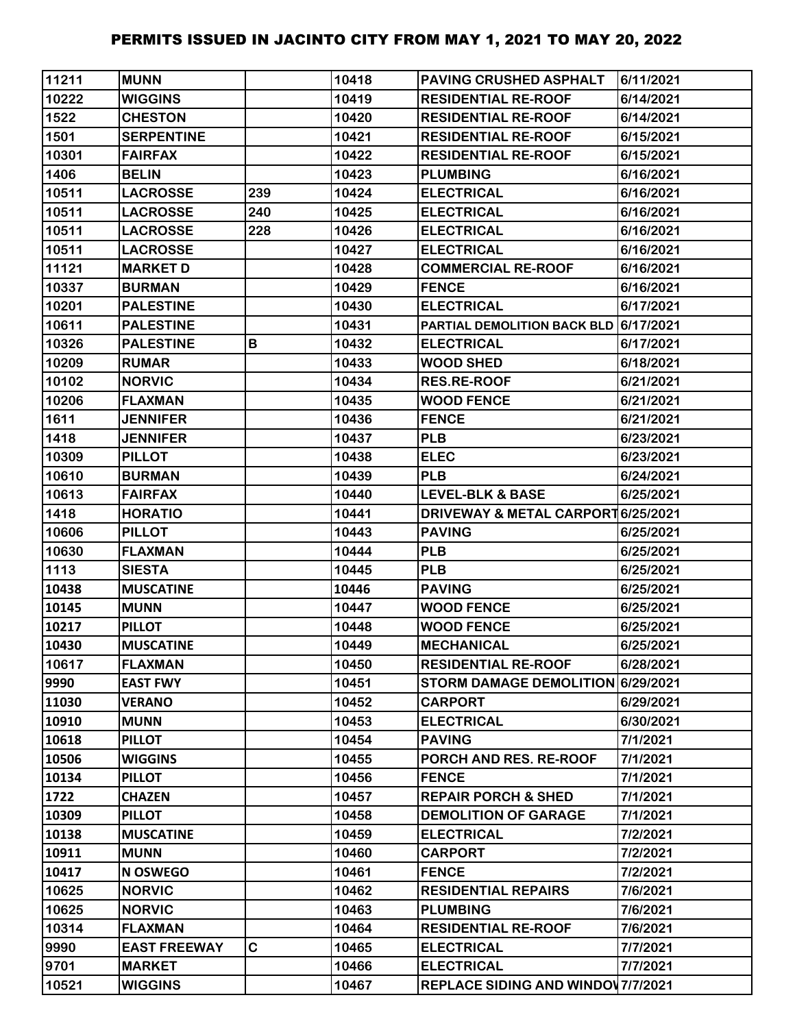| 11211 | <b>MUNN</b>         |     | 10418 | <b>PAVING CRUSHED ASPHALT</b>         | 6/11/2021 |
|-------|---------------------|-----|-------|---------------------------------------|-----------|
| 10222 | <b>WIGGINS</b>      |     | 10419 | <b>RESIDENTIAL RE-ROOF</b>            | 6/14/2021 |
| 1522  | <b>CHESTON</b>      |     | 10420 | <b>RESIDENTIAL RE-ROOF</b>            | 6/14/2021 |
| 1501  | <b>SERPENTINE</b>   |     | 10421 | <b>RESIDENTIAL RE-ROOF</b>            | 6/15/2021 |
| 10301 | <b>FAIRFAX</b>      |     | 10422 | <b>RESIDENTIAL RE-ROOF</b>            | 6/15/2021 |
| 1406  | <b>BELIN</b>        |     | 10423 | <b>PLUMBING</b>                       | 6/16/2021 |
| 10511 | <b>LACROSSE</b>     | 239 | 10424 | <b>ELECTRICAL</b>                     | 6/16/2021 |
| 10511 | <b>LACROSSE</b>     | 240 | 10425 | <b>ELECTRICAL</b>                     | 6/16/2021 |
| 10511 | <b>LACROSSE</b>     | 228 | 10426 | <b>ELECTRICAL</b>                     | 6/16/2021 |
| 10511 | <b>LACROSSE</b>     |     | 10427 | <b>ELECTRICAL</b>                     | 6/16/2021 |
| 11121 | <b>MARKET D</b>     |     | 10428 | <b>COMMERCIAL RE-ROOF</b>             | 6/16/2021 |
| 10337 | <b>BURMAN</b>       |     | 10429 | <b>FENCE</b>                          | 6/16/2021 |
| 10201 | <b>PALESTINE</b>    |     | 10430 | <b>ELECTRICAL</b>                     | 6/17/2021 |
| 10611 | <b>PALESTINE</b>    |     | 10431 | PARTIAL DEMOLITION BACK BLD 6/17/2021 |           |
| 10326 | <b>PALESTINE</b>    | В   | 10432 | <b>ELECTRICAL</b>                     | 6/17/2021 |
| 10209 | <b>RUMAR</b>        |     | 10433 | <b>WOOD SHED</b>                      | 6/18/2021 |
| 10102 | <b>NORVIC</b>       |     | 10434 | <b>RES.RE-ROOF</b>                    | 6/21/2021 |
| 10206 | <b>FLAXMAN</b>      |     | 10435 | <b>WOOD FENCE</b>                     | 6/21/2021 |
| 1611  | <b>JENNIFER</b>     |     | 10436 | <b>FENCE</b>                          | 6/21/2021 |
| 1418  | <b>JENNIFER</b>     |     | 10437 | <b>PLB</b>                            | 6/23/2021 |
| 10309 | <b>PILLOT</b>       |     | 10438 | <b>ELEC</b>                           | 6/23/2021 |
| 10610 | <b>BURMAN</b>       |     | 10439 | <b>PLB</b>                            | 6/24/2021 |
| 10613 | <b>FAIRFAX</b>      |     | 10440 | <b>LEVEL-BLK &amp; BASE</b>           | 6/25/2021 |
| 1418  | <b>HORATIO</b>      |     | 10441 | DRIVEWAY & METAL CARPORT 6/25/2021    |           |
| 10606 | <b>PILLOT</b>       |     | 10443 | <b>PAVING</b>                         | 6/25/2021 |
| 10630 | <b>FLAXMAN</b>      |     | 10444 | <b>PLB</b>                            | 6/25/2021 |
| 1113  | <b>SIESTA</b>       |     | 10445 | <b>PLB</b>                            | 6/25/2021 |
| 10438 | <b>MUSCATINE</b>    |     | 10446 | <b>PAVING</b>                         | 6/25/2021 |
| 10145 | <b>MUNN</b>         |     | 10447 | <b>WOOD FENCE</b>                     | 6/25/2021 |
| 10217 | <b>PILLOT</b>       |     | 10448 | <b>WOOD FENCE</b>                     | 6/25/2021 |
| 10430 | <b>MUSCATINE</b>    |     | 10449 | <b>MECHANICAL</b>                     | 6/25/2021 |
| 10617 | <b>FLAXMAN</b>      |     | 10450 | <b>RESIDENTIAL RE-ROOF</b>            | 6/28/2021 |
| 9990  | <b>EAST FWY</b>     |     | 10451 | STORM DAMAGE DEMOLITION 6/29/2021     |           |
| 11030 | <b>VERANO</b>       |     | 10452 | <b>CARPORT</b>                        | 6/29/2021 |
| 10910 | <b>MUNN</b>         |     | 10453 | <b>ELECTRICAL</b>                     | 6/30/2021 |
| 10618 | <b>PILLOT</b>       |     | 10454 | <b>PAVING</b>                         | 7/1/2021  |
| 10506 | <b>WIGGINS</b>      |     | 10455 | PORCH AND RES. RE-ROOF                | 7/1/2021  |
| 10134 | <b>PILLOT</b>       |     | 10456 | <b>FENCE</b>                          | 7/1/2021  |
| 1722  | <b>CHAZEN</b>       |     | 10457 | <b>REPAIR PORCH &amp; SHED</b>        | 7/1/2021  |
| 10309 | <b>PILLOT</b>       |     | 10458 | <b>DEMOLITION OF GARAGE</b>           | 7/1/2021  |
| 10138 | <b>MUSCATINE</b>    |     | 10459 | <b>ELECTRICAL</b>                     | 7/2/2021  |
| 10911 | <b>MUNN</b>         |     | 10460 | <b>CARPORT</b>                        | 7/2/2021  |
| 10417 | <b>N OSWEGO</b>     |     | 10461 | <b>FENCE</b>                          | 7/2/2021  |
| 10625 | <b>NORVIC</b>       |     | 10462 | <b>RESIDENTIAL REPAIRS</b>            | 7/6/2021  |
| 10625 | <b>NORVIC</b>       |     | 10463 | <b>PLUMBING</b>                       | 7/6/2021  |
| 10314 | <b>FLAXMAN</b>      |     | 10464 | <b>RESIDENTIAL RE-ROOF</b>            | 7/6/2021  |
| 9990  | <b>EAST FREEWAY</b> | C   | 10465 | <b>ELECTRICAL</b>                     | 7/7/2021  |
| 9701  | <b>MARKET</b>       |     | 10466 | <b>ELECTRICAL</b>                     | 7/7/2021  |
| 10521 | <b>WIGGINS</b>      |     | 10467 | REPLACE SIDING AND WINDOW 7/7/2021    |           |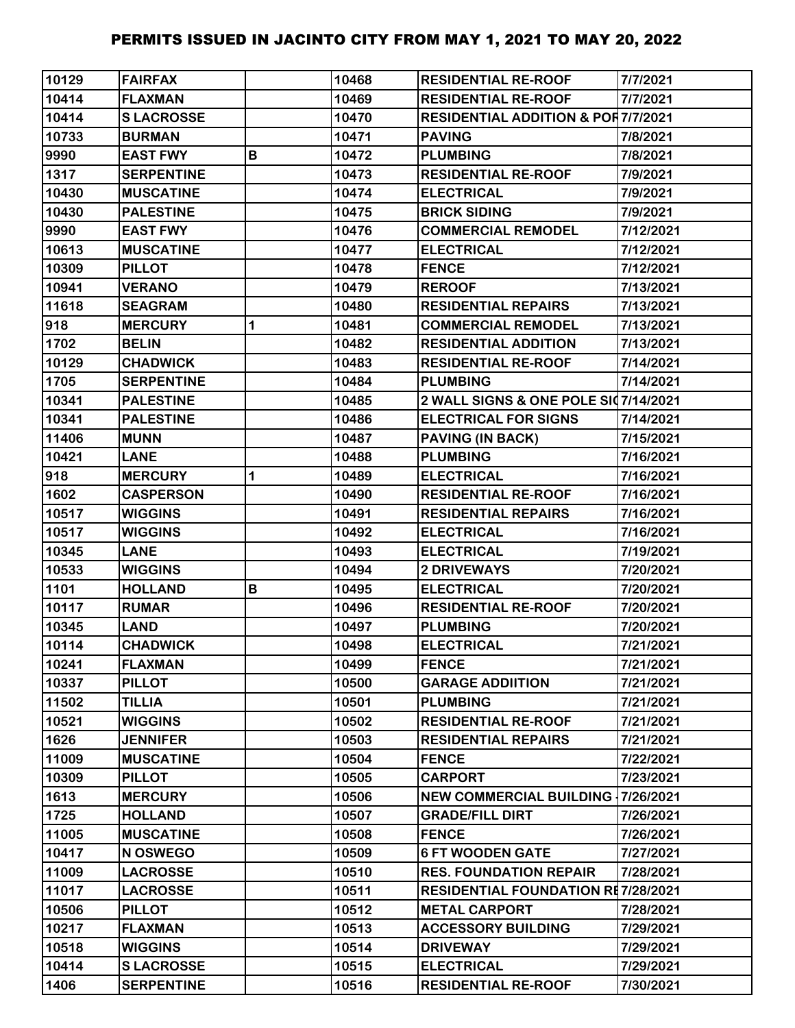| 10129 | <b>FAIRFAX</b>    |   | 10468 | <b>RESIDENTIAL RE-ROOF</b>                    | 7/7/2021  |
|-------|-------------------|---|-------|-----------------------------------------------|-----------|
| 10414 | <b>FLAXMAN</b>    |   | 10469 | <b>RESIDENTIAL RE-ROOF</b>                    | 7/7/2021  |
| 10414 | <b>SLACROSSE</b>  |   | 10470 | <b>RESIDENTIAL ADDITION &amp; POR7/7/2021</b> |           |
| 10733 | <b>BURMAN</b>     |   | 10471 | <b>PAVING</b>                                 | 7/8/2021  |
| 9990  | <b>EAST FWY</b>   | B | 10472 | <b>PLUMBING</b>                               | 7/8/2021  |
| 1317  | <b>SERPENTINE</b> |   | 10473 | <b>RESIDENTIAL RE-ROOF</b>                    | 7/9/2021  |
| 10430 | <b>MUSCATINE</b>  |   | 10474 | <b>ELECTRICAL</b>                             | 7/9/2021  |
| 10430 | <b>PALESTINE</b>  |   | 10475 | <b>BRICK SIDING</b>                           | 7/9/2021  |
| 9990  | <b>EAST FWY</b>   |   | 10476 | <b>COMMERCIAL REMODEL</b>                     | 7/12/2021 |
| 10613 | <b>MUSCATINE</b>  |   | 10477 | <b>ELECTRICAL</b>                             | 7/12/2021 |
| 10309 | <b>PILLOT</b>     |   | 10478 | <b>FENCE</b>                                  | 7/12/2021 |
| 10941 | <b>VERANO</b>     |   | 10479 | <b>REROOF</b>                                 | 7/13/2021 |
| 11618 | <b>SEAGRAM</b>    |   | 10480 | <b>RESIDENTIAL REPAIRS</b>                    | 7/13/2021 |
| 918   | <b>MERCURY</b>    | 1 | 10481 | <b>COMMERCIAL REMODEL</b>                     | 7/13/2021 |
| 1702  | <b>BELIN</b>      |   | 10482 | <b>RESIDENTIAL ADDITION</b>                   | 7/13/2021 |
| 10129 | <b>CHADWICK</b>   |   | 10483 | <b>RESIDENTIAL RE-ROOF</b>                    | 7/14/2021 |
| 1705  | <b>SERPENTINE</b> |   | 10484 | <b>PLUMBING</b>                               | 7/14/2021 |
| 10341 | <b>PALESTINE</b>  |   | 10485 | 2 WALL SIGNS & ONE POLE SI07/14/2021          |           |
| 10341 | <b>PALESTINE</b>  |   | 10486 | <b>ELECTRICAL FOR SIGNS</b>                   | 7/14/2021 |
| 11406 | <b>MUNN</b>       |   | 10487 | <b>PAVING (IN BACK)</b>                       | 7/15/2021 |
| 10421 | <b>LANE</b>       |   | 10488 | <b>PLUMBING</b>                               | 7/16/2021 |
| 918   | <b>MERCURY</b>    | 1 | 10489 | <b>ELECTRICAL</b>                             | 7/16/2021 |
| 1602  | <b>CASPERSON</b>  |   | 10490 | <b>RESIDENTIAL RE-ROOF</b>                    | 7/16/2021 |
| 10517 | <b>WIGGINS</b>    |   | 10491 | <b>RESIDENTIAL REPAIRS</b>                    | 7/16/2021 |
| 10517 | <b>WIGGINS</b>    |   | 10492 | <b>ELECTRICAL</b>                             | 7/16/2021 |
| 10345 | <b>LANE</b>       |   | 10493 | <b>ELECTRICAL</b>                             | 7/19/2021 |
| 10533 | <b>WIGGINS</b>    |   | 10494 | 2 DRIVEWAYS                                   | 7/20/2021 |
| 1101  | <b>HOLLAND</b>    | В | 10495 | <b>ELECTRICAL</b>                             | 7/20/2021 |
| 10117 | <b>RUMAR</b>      |   | 10496 | <b>RESIDENTIAL RE-ROOF</b>                    | 7/20/2021 |
| 10345 | <b>LAND</b>       |   | 10497 | <b>PLUMBING</b>                               | 7/20/2021 |
| 10114 | <b>CHADWICK</b>   |   | 10498 | <b>ELECTRICAL</b>                             | 7/21/2021 |
| 10241 | <b>FLAXMAN</b>    |   | 10499 | <b>FENCE</b>                                  | 7/21/2021 |
| 10337 | <b>PILLOT</b>     |   | 10500 | <b>GARAGE ADDIITION</b>                       | 7/21/2021 |
| 11502 | <b>TILLIA</b>     |   | 10501 | <b>PLUMBING</b>                               | 7/21/2021 |
| 10521 | <b>WIGGINS</b>    |   | 10502 | <b>RESIDENTIAL RE-ROOF</b>                    | 7/21/2021 |
| 1626  | <b>JENNIFER</b>   |   | 10503 | <b>RESIDENTIAL REPAIRS</b>                    | 7/21/2021 |
| 11009 | <b>MUSCATINE</b>  |   | 10504 | <b>FENCE</b>                                  | 7/22/2021 |
| 10309 | <b>PILLOT</b>     |   | 10505 | <b>CARPORT</b>                                | 7/23/2021 |
| 1613  | <b>MERCURY</b>    |   | 10506 | <b>NEW COMMERCIAL BUILDING 17/26/2021</b>     |           |
| 1725  | <b>HOLLAND</b>    |   | 10507 | <b>GRADE/FILL DIRT</b>                        | 7/26/2021 |
| 11005 | <b>MUSCATINE</b>  |   | 10508 | <b>FENCE</b>                                  | 7/26/2021 |
| 10417 | N OSWEGO          |   | 10509 | <b>6 FT WOODEN GATE</b>                       | 7/27/2021 |
| 11009 | <b>LACROSSE</b>   |   | 10510 | <b>RES. FOUNDATION REPAIR</b>                 | 7/28/2021 |
| 11017 | <b>LACROSSE</b>   |   | 10511 | <b>RESIDENTIAL FOUNDATION RE7/28/2021</b>     |           |
| 10506 | <b>PILLOT</b>     |   | 10512 | <b>METAL CARPORT</b>                          | 7/28/2021 |
| 10217 | <b>FLAXMAN</b>    |   | 10513 | <b>ACCESSORY BUILDING</b>                     | 7/29/2021 |
| 10518 | <b>WIGGINS</b>    |   | 10514 | <b>DRIVEWAY</b>                               | 7/29/2021 |
| 10414 | <b>SLACROSSE</b>  |   | 10515 | <b>ELECTRICAL</b>                             | 7/29/2021 |
| 1406  | <b>SERPENTINE</b> |   | 10516 | <b>RESIDENTIAL RE-ROOF</b>                    | 7/30/2021 |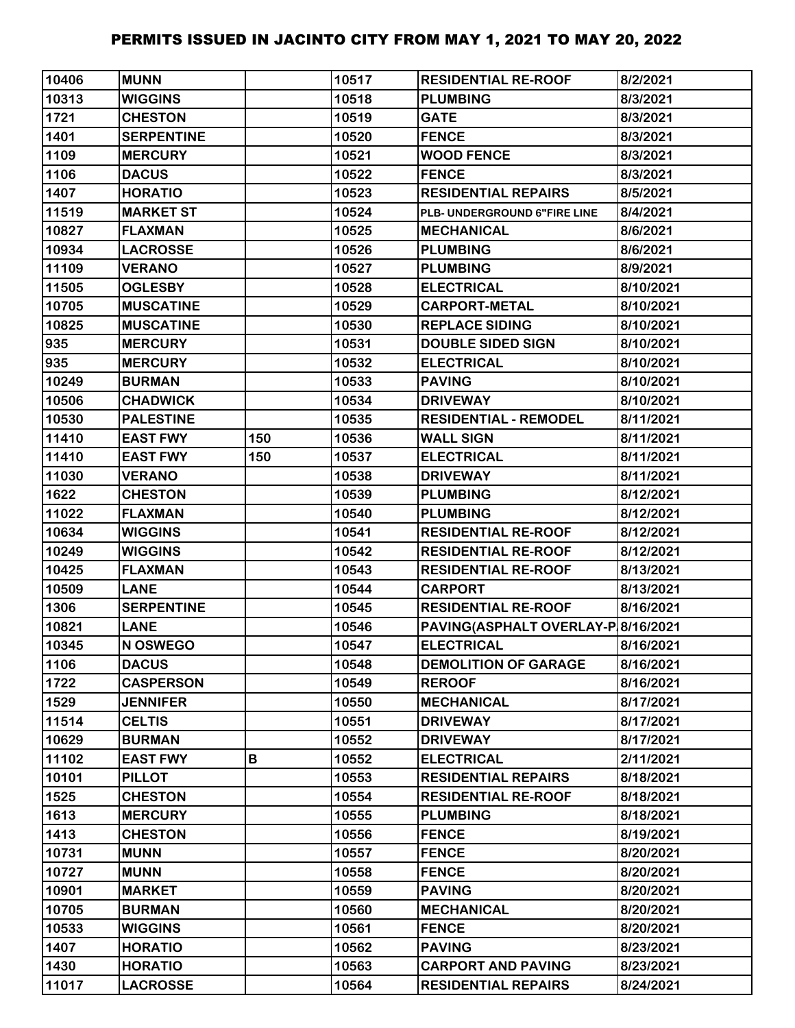| 10406 | <b>MUNN</b>       |     | 10517 | <b>RESIDENTIAL RE-ROOF</b>         | 8/2/2021  |
|-------|-------------------|-----|-------|------------------------------------|-----------|
| 10313 | <b>WIGGINS</b>    |     | 10518 | <b>PLUMBING</b>                    | 8/3/2021  |
| 1721  | <b>CHESTON</b>    |     | 10519 | <b>GATE</b>                        | 8/3/2021  |
| 1401  | <b>SERPENTINE</b> |     | 10520 | <b>FENCE</b>                       | 8/3/2021  |
| 1109  | <b>MERCURY</b>    |     | 10521 | <b>WOOD FENCE</b>                  | 8/3/2021  |
| 1106  | <b>DACUS</b>      |     | 10522 | <b>FENCE</b>                       | 8/3/2021  |
| 1407  | <b>HORATIO</b>    |     | 10523 | <b>RESIDENTIAL REPAIRS</b>         | 8/5/2021  |
| 11519 | <b>MARKET ST</b>  |     | 10524 | PLB- UNDERGROUND 6"FIRE LINE       | 8/4/2021  |
| 10827 | <b>FLAXMAN</b>    |     | 10525 | <b>MECHANICAL</b>                  | 8/6/2021  |
| 10934 | <b>LACROSSE</b>   |     | 10526 | <b>PLUMBING</b>                    | 8/6/2021  |
| 11109 | <b>VERANO</b>     |     | 10527 | <b>PLUMBING</b>                    | 8/9/2021  |
| 11505 | <b>OGLESBY</b>    |     | 10528 | <b>ELECTRICAL</b>                  | 8/10/2021 |
| 10705 | <b>MUSCATINE</b>  |     | 10529 | <b>CARPORT-METAL</b>               | 8/10/2021 |
| 10825 | <b>MUSCATINE</b>  |     | 10530 | <b>REPLACE SIDING</b>              | 8/10/2021 |
| 935   | <b>MERCURY</b>    |     | 10531 | <b>DOUBLE SIDED SIGN</b>           | 8/10/2021 |
| 935   | <b>MERCURY</b>    |     | 10532 | <b>ELECTRICAL</b>                  | 8/10/2021 |
| 10249 | <b>BURMAN</b>     |     | 10533 | <b>PAVING</b>                      | 8/10/2021 |
| 10506 | <b>CHADWICK</b>   |     | 10534 | <b>DRIVEWAY</b>                    | 8/10/2021 |
| 10530 | <b>PALESTINE</b>  |     | 10535 | <b>RESIDENTIAL - REMODEL</b>       | 8/11/2021 |
| 11410 | <b>EAST FWY</b>   | 150 | 10536 | <b>WALL SIGN</b>                   | 8/11/2021 |
| 11410 | <b>EAST FWY</b>   | 150 | 10537 | <b>ELECTRICAL</b>                  | 8/11/2021 |
| 11030 | <b>VERANO</b>     |     | 10538 | <b>DRIVEWAY</b>                    | 8/11/2021 |
| 1622  | <b>CHESTON</b>    |     | 10539 | <b>PLUMBING</b>                    | 8/12/2021 |
| 11022 | <b>FLAXMAN</b>    |     | 10540 | <b>PLUMBING</b>                    | 8/12/2021 |
| 10634 | <b>WIGGINS</b>    |     | 10541 | <b>RESIDENTIAL RE-ROOF</b>         | 8/12/2021 |
| 10249 | <b>WIGGINS</b>    |     | 10542 | <b>RESIDENTIAL RE-ROOF</b>         | 8/12/2021 |
| 10425 | <b>FLAXMAN</b>    |     | 10543 | <b>RESIDENTIAL RE-ROOF</b>         | 8/13/2021 |
| 10509 | <b>LANE</b>       |     | 10544 | <b>CARPORT</b>                     | 8/13/2021 |
| 1306  | <b>SERPENTINE</b> |     | 10545 | <b>RESIDENTIAL RE-ROOF</b>         | 8/16/2021 |
| 10821 | <b>LANE</b>       |     | 10546 | PAVING(ASPHALT OVERLAY-P 8/16/2021 |           |
| 10345 | N OSWEGO          |     | 10547 | <b>ELECTRICAL</b>                  | 8/16/2021 |
| 1106  | <b>DACUS</b>      |     | 10548 | <b>DEMOLITION OF GARAGE</b>        | 8/16/2021 |
| 1722  | <b>CASPERSON</b>  |     | 10549 | <b>REROOF</b>                      | 8/16/2021 |
| 1529  | <b>JENNIFER</b>   |     | 10550 | <b>MECHANICAL</b>                  | 8/17/2021 |
| 11514 | <b>CELTIS</b>     |     | 10551 | <b>DRIVEWAY</b>                    | 8/17/2021 |
| 10629 | <b>BURMAN</b>     |     | 10552 | <b>DRIVEWAY</b>                    | 8/17/2021 |
| 11102 | <b>EAST FWY</b>   | В   | 10552 | <b>ELECTRICAL</b>                  | 2/11/2021 |
| 10101 | <b>PILLOT</b>     |     | 10553 | <b>RESIDENTIAL REPAIRS</b>         | 8/18/2021 |
| 1525  | <b>CHESTON</b>    |     | 10554 | <b>RESIDENTIAL RE-ROOF</b>         | 8/18/2021 |
| 1613  | <b>MERCURY</b>    |     | 10555 | <b>PLUMBING</b>                    | 8/18/2021 |
| 1413  | <b>CHESTON</b>    |     | 10556 | <b>FENCE</b>                       | 8/19/2021 |
| 10731 | <b>MUNN</b>       |     | 10557 | <b>FENCE</b>                       | 8/20/2021 |
| 10727 | <b>MUNN</b>       |     | 10558 | <b>FENCE</b>                       | 8/20/2021 |
| 10901 | <b>MARKET</b>     |     | 10559 | <b>PAVING</b>                      | 8/20/2021 |
| 10705 | <b>BURMAN</b>     |     | 10560 | <b>MECHANICAL</b>                  | 8/20/2021 |
| 10533 | <b>WIGGINS</b>    |     | 10561 | <b>FENCE</b>                       | 8/20/2021 |
| 1407  | <b>HORATIO</b>    |     | 10562 | <b>PAVING</b>                      | 8/23/2021 |
| 1430  | <b>HORATIO</b>    |     | 10563 | <b>CARPORT AND PAVING</b>          | 8/23/2021 |
| 11017 | <b>LACROSSE</b>   |     | 10564 | <b>RESIDENTIAL REPAIRS</b>         | 8/24/2021 |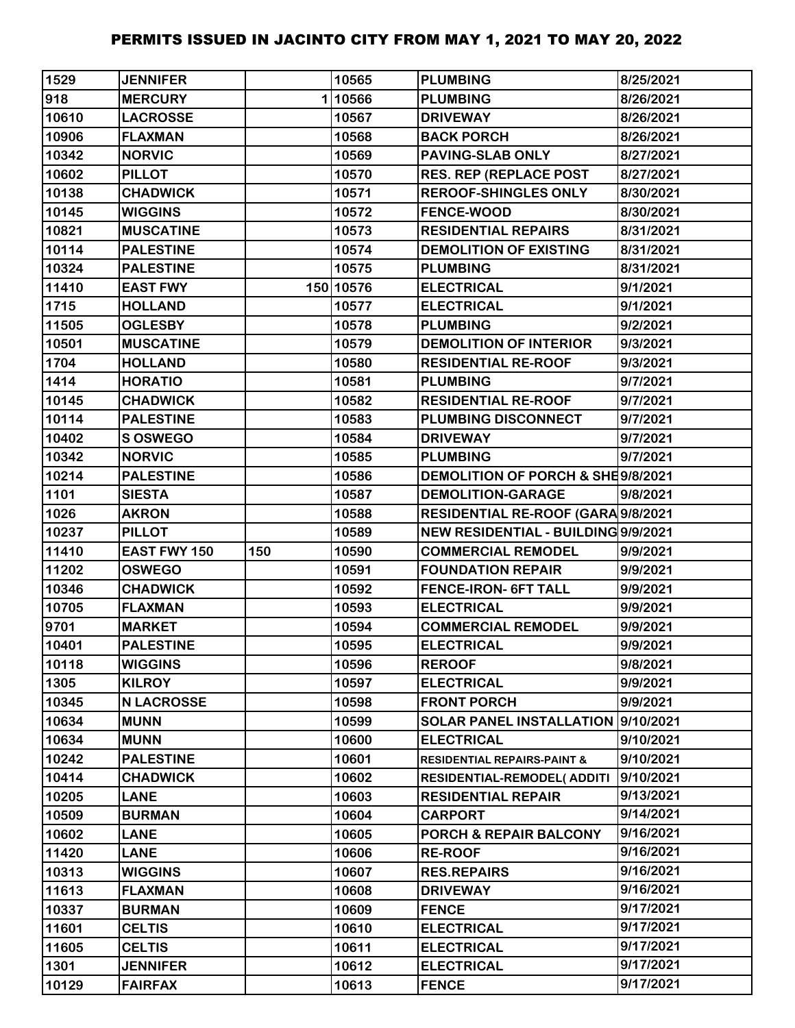| 1529  | <b>JENNIFER</b>     |     | 10565     | <b>PLUMBING</b>                        | 8/25/2021 |
|-------|---------------------|-----|-----------|----------------------------------------|-----------|
| 918   | <b>MERCURY</b>      |     | 110566    | <b>PLUMBING</b>                        | 8/26/2021 |
| 10610 | <b>LACROSSE</b>     |     | 10567     | <b>DRIVEWAY</b>                        | 8/26/2021 |
| 10906 | <b>FLAXMAN</b>      |     | 10568     | <b>BACK PORCH</b>                      | 8/26/2021 |
| 10342 | <b>NORVIC</b>       |     | 10569     | <b>PAVING-SLAB ONLY</b>                | 8/27/2021 |
| 10602 | <b>PILLOT</b>       |     | 10570     | <b>RES. REP (REPLACE POST</b>          | 8/27/2021 |
| 10138 | <b>CHADWICK</b>     |     | 10571     | <b>REROOF-SHINGLES ONLY</b>            | 8/30/2021 |
| 10145 | <b>WIGGINS</b>      |     | 10572     | <b>FENCE-WOOD</b>                      | 8/30/2021 |
| 10821 | <b>MUSCATINE</b>    |     | 10573     | <b>RESIDENTIAL REPAIRS</b>             | 8/31/2021 |
| 10114 | <b>PALESTINE</b>    |     | 10574     | <b>DEMOLITION OF EXISTING</b>          | 8/31/2021 |
| 10324 | <b>PALESTINE</b>    |     | 10575     | <b>PLUMBING</b>                        | 8/31/2021 |
| 11410 | <b>EAST FWY</b>     |     | 150 10576 | <b>ELECTRICAL</b>                      | 9/1/2021  |
| 1715  | <b>HOLLAND</b>      |     | 10577     | <b>ELECTRICAL</b>                      | 9/1/2021  |
| 11505 | <b>OGLESBY</b>      |     | 10578     | <b>PLUMBING</b>                        | 9/2/2021  |
| 10501 | <b>MUSCATINE</b>    |     | 10579     | <b>DEMOLITION OF INTERIOR</b>          | 9/3/2021  |
| 1704  | <b>HOLLAND</b>      |     | 10580     | <b>RESIDENTIAL RE-ROOF</b>             | 9/3/2021  |
| 1414  | <b>HORATIO</b>      |     | 10581     | <b>PLUMBING</b>                        | 9/7/2021  |
| 10145 | <b>CHADWICK</b>     |     | 10582     | <b>RESIDENTIAL RE-ROOF</b>             | 9/7/2021  |
| 10114 | <b>PALESTINE</b>    |     | 10583     | <b>PLUMBING DISCONNECT</b>             | 9/7/2021  |
| 10402 | S OSWEGO            |     | 10584     | <b>DRIVEWAY</b>                        | 9/7/2021  |
| 10342 | <b>NORVIC</b>       |     | 10585     | <b>PLUMBING</b>                        | 9/7/2021  |
| 10214 | <b>PALESTINE</b>    |     | 10586     | DEMOLITION OF PORCH & SHE9/8/2021      |           |
| 1101  | <b>SIESTA</b>       |     | 10587     | <b>DEMOLITION-GARAGE</b>               | 9/8/2021  |
| 1026  | <b>AKRON</b>        |     | 10588     | RESIDENTIAL RE-ROOF (GARA 9/8/2021     |           |
| 10237 | <b>PILLOT</b>       |     | 10589     | NEW RESIDENTIAL - BUILDING 9/9/2021    |           |
| 11410 | <b>EAST FWY 150</b> | 150 | 10590     | <b>COMMERCIAL REMODEL</b>              | 9/9/2021  |
| 11202 | <b>OSWEGO</b>       |     | 10591     | <b>FOUNDATION REPAIR</b>               | 9/9/2021  |
| 10346 | <b>CHADWICK</b>     |     | 10592     | <b>FENCE-IRON- 6FT TALL</b>            | 9/9/2021  |
| 10705 | <b>FLAXMAN</b>      |     | 10593     | <b>ELECTRICAL</b>                      | 9/9/2021  |
| 9701  | <b>MARKET</b>       |     | 10594     | <b>COMMERCIAL REMODEL</b>              | 9/9/2021  |
| 10401 | <b>PALESTINE</b>    |     | 10595     | <b>ELECTRICAL</b>                      | 9/9/2021  |
| 10118 | <b>WIGGINS</b>      |     | 10596     | <b>REROOF</b>                          | 9/8/2021  |
| 1305  | <b>KILROY</b>       |     | 10597     | <b>ELECTRICAL</b>                      | 9/9/2021  |
| 10345 | <b>N LACROSSE</b>   |     | 10598     | <b>FRONT PORCH</b>                     | 9/9/2021  |
| 10634 | <b>MUNN</b>         |     | 10599     | SOLAR PANEL INSTALLATION 9/10/2021     |           |
| 10634 | <b>MUNN</b>         |     | 10600     | <b>ELECTRICAL</b>                      | 9/10/2021 |
| 10242 | <b>PALESTINE</b>    |     | 10601     | <b>RESIDENTIAL REPAIRS-PAINT &amp;</b> | 9/10/2021 |
| 10414 | <b>CHADWICK</b>     |     | 10602     | <b>RESIDENTIAL-REMODEL( ADDITI</b>     | 9/10/2021 |
| 10205 | <b>LANE</b>         |     | 10603     | <b>RESIDENTIAL REPAIR</b>              | 9/13/2021 |
| 10509 | <b>BURMAN</b>       |     | 10604     | <b>CARPORT</b>                         | 9/14/2021 |
| 10602 | <b>LANE</b>         |     | 10605     | <b>PORCH &amp; REPAIR BALCONY</b>      | 9/16/2021 |
| 11420 | <b>LANE</b>         |     | 10606     | <b>RE-ROOF</b>                         | 9/16/2021 |
| 10313 | <b>WIGGINS</b>      |     | 10607     | <b>RES.REPAIRS</b>                     | 9/16/2021 |
| 11613 | <b>FLAXMAN</b>      |     | 10608     | <b>DRIVEWAY</b>                        | 9/16/2021 |
| 10337 | <b>BURMAN</b>       |     | 10609     | <b>FENCE</b>                           | 9/17/2021 |
| 11601 | <b>CELTIS</b>       |     | 10610     | <b>ELECTRICAL</b>                      | 9/17/2021 |
| 11605 | <b>CELTIS</b>       |     | 10611     | <b>ELECTRICAL</b>                      | 9/17/2021 |
| 1301  | <b>JENNIFER</b>     |     | 10612     | <b>ELECTRICAL</b>                      | 9/17/2021 |
| 10129 | <b>FAIRFAX</b>      |     | 10613     | <b>FENCE</b>                           | 9/17/2021 |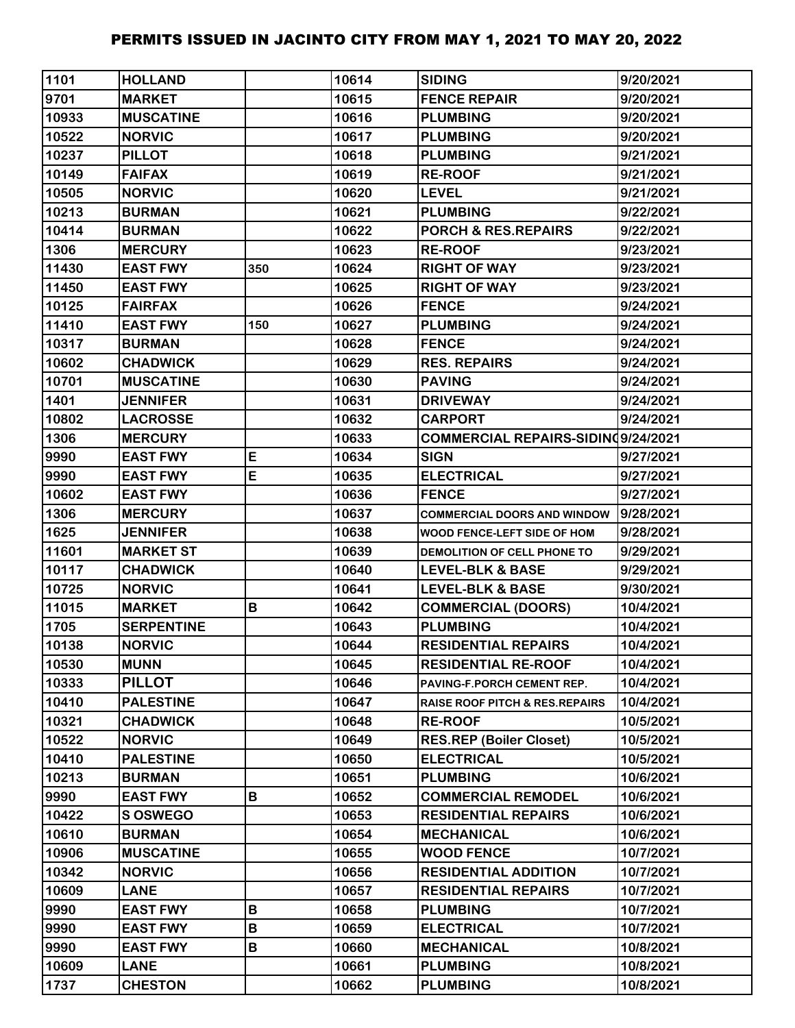| 1101  | <b>HOLLAND</b>    |     | 10614 | <b>SIDING</b>                             | 9/20/2021 |
|-------|-------------------|-----|-------|-------------------------------------------|-----------|
| 9701  | <b>MARKET</b>     |     | 10615 | <b>FENCE REPAIR</b>                       | 9/20/2021 |
| 10933 | <b>MUSCATINE</b>  |     | 10616 | <b>PLUMBING</b>                           | 9/20/2021 |
| 10522 | <b>NORVIC</b>     |     | 10617 | <b>PLUMBING</b>                           | 9/20/2021 |
| 10237 | <b>PILLOT</b>     |     | 10618 | <b>PLUMBING</b>                           | 9/21/2021 |
| 10149 | <b>FAIFAX</b>     |     | 10619 | <b>RE-ROOF</b>                            | 9/21/2021 |
| 10505 | <b>NORVIC</b>     |     | 10620 | <b>LEVEL</b>                              | 9/21/2021 |
| 10213 | <b>BURMAN</b>     |     | 10621 | <b>PLUMBING</b>                           | 9/22/2021 |
| 10414 | <b>BURMAN</b>     |     | 10622 | PORCH & RES.REPAIRS                       | 9/22/2021 |
| 1306  | <b>MERCURY</b>    |     | 10623 | <b>RE-ROOF</b>                            | 9/23/2021 |
| 11430 | <b>EAST FWY</b>   | 350 | 10624 | <b>RIGHT OF WAY</b>                       | 9/23/2021 |
| 11450 | <b>EAST FWY</b>   |     | 10625 | <b>RIGHT OF WAY</b>                       | 9/23/2021 |
| 10125 | <b>FAIRFAX</b>    |     | 10626 | <b>FENCE</b>                              | 9/24/2021 |
| 11410 | <b>EAST FWY</b>   | 150 | 10627 | <b>PLUMBING</b>                           | 9/24/2021 |
| 10317 | <b>BURMAN</b>     |     | 10628 | <b>FENCE</b>                              | 9/24/2021 |
| 10602 | <b>CHADWICK</b>   |     | 10629 | <b>RES. REPAIRS</b>                       | 9/24/2021 |
| 10701 | <b>MUSCATINE</b>  |     | 10630 | <b>PAVING</b>                             | 9/24/2021 |
| 1401  | <b>JENNIFER</b>   |     | 10631 | <b>DRIVEWAY</b>                           | 9/24/2021 |
| 10802 | <b>LACROSSE</b>   |     | 10632 | <b>CARPORT</b>                            | 9/24/2021 |
| 1306  | <b>MERCURY</b>    |     | 10633 | <b>COMMERCIAL REPAIRS-SIDIN(9/24/2021</b> |           |
| 9990  | <b>EAST FWY</b>   | E   | 10634 | <b>SIGN</b>                               | 9/27/2021 |
| 9990  | <b>EAST FWY</b>   | E   | 10635 | <b>ELECTRICAL</b>                         | 9/27/2021 |
| 10602 | <b>EAST FWY</b>   |     | 10636 | <b>FENCE</b>                              | 9/27/2021 |
| 1306  | <b>MERCURY</b>    |     | 10637 | <b>COMMERCIAL DOORS AND WINDOW</b>        | 9/28/2021 |
| 1625  | <b>JENNIFER</b>   |     | 10638 | WOOD FENCE-LEFT SIDE OF HOM               | 9/28/2021 |
| 11601 | <b>MARKET ST</b>  |     | 10639 | DEMOLITION OF CELL PHONE TO               | 9/29/2021 |
| 10117 | <b>CHADWICK</b>   |     | 10640 | <b>LEVEL-BLK &amp; BASE</b>               | 9/29/2021 |
| 10725 | <b>NORVIC</b>     |     | 10641 | <b>LEVEL-BLK &amp; BASE</b>               | 9/30/2021 |
| 11015 | <b>MARKET</b>     | B   | 10642 | <b>COMMERCIAL (DOORS)</b>                 | 10/4/2021 |
| 1705  | <b>SERPENTINE</b> |     | 10643 | <b>PLUMBING</b>                           | 10/4/2021 |
| 10138 | <b>NORVIC</b>     |     | 10644 | <b>RESIDENTIAL REPAIRS</b>                | 10/4/2021 |
| 10530 | <b>MUNN</b>       |     | 10645 | <b>RESIDENTIAL RE-ROOF</b>                | 10/4/2021 |
| 10333 | <b>PILLOT</b>     |     | 10646 | PAVING-F.PORCH CEMENT REP.                | 10/4/2021 |
| 10410 | <b>PALESTINE</b>  |     | 10647 | <b>RAISE ROOF PITCH &amp; RES.REPAIRS</b> | 10/4/2021 |
| 10321 | <b>CHADWICK</b>   |     | 10648 | <b>RE-ROOF</b>                            | 10/5/2021 |
| 10522 | <b>NORVIC</b>     |     | 10649 | <b>RES.REP (Boiler Closet)</b>            | 10/5/2021 |
| 10410 | <b>PALESTINE</b>  |     | 10650 | <b>ELECTRICAL</b>                         | 10/5/2021 |
| 10213 | <b>BURMAN</b>     |     | 10651 | <b>PLUMBING</b>                           | 10/6/2021 |
| 9990  | <b>EAST FWY</b>   | В   | 10652 | <b>COMMERCIAL REMODEL</b>                 | 10/6/2021 |
| 10422 | S OSWEGO          |     | 10653 | <b>RESIDENTIAL REPAIRS</b>                | 10/6/2021 |
| 10610 | <b>BURMAN</b>     |     | 10654 | <b>MECHANICAL</b>                         | 10/6/2021 |
| 10906 | <b>MUSCATINE</b>  |     | 10655 | <b>WOOD FENCE</b>                         | 10/7/2021 |
| 10342 | <b>NORVIC</b>     |     | 10656 | <b>RESIDENTIAL ADDITION</b>               | 10/7/2021 |
| 10609 | <b>LANE</b>       |     | 10657 | <b>RESIDENTIAL REPAIRS</b>                | 10/7/2021 |
| 9990  | <b>EAST FWY</b>   | B   | 10658 | <b>PLUMBING</b>                           | 10/7/2021 |
| 9990  | <b>EAST FWY</b>   | B   | 10659 | <b>ELECTRICAL</b>                         | 10/7/2021 |
| 9990  | <b>EAST FWY</b>   | B   | 10660 | <b>MECHANICAL</b>                         | 10/8/2021 |
| 10609 | <b>LANE</b>       |     | 10661 | <b>PLUMBING</b>                           | 10/8/2021 |
| 1737  | <b>CHESTON</b>    |     | 10662 | <b>PLUMBING</b>                           | 10/8/2021 |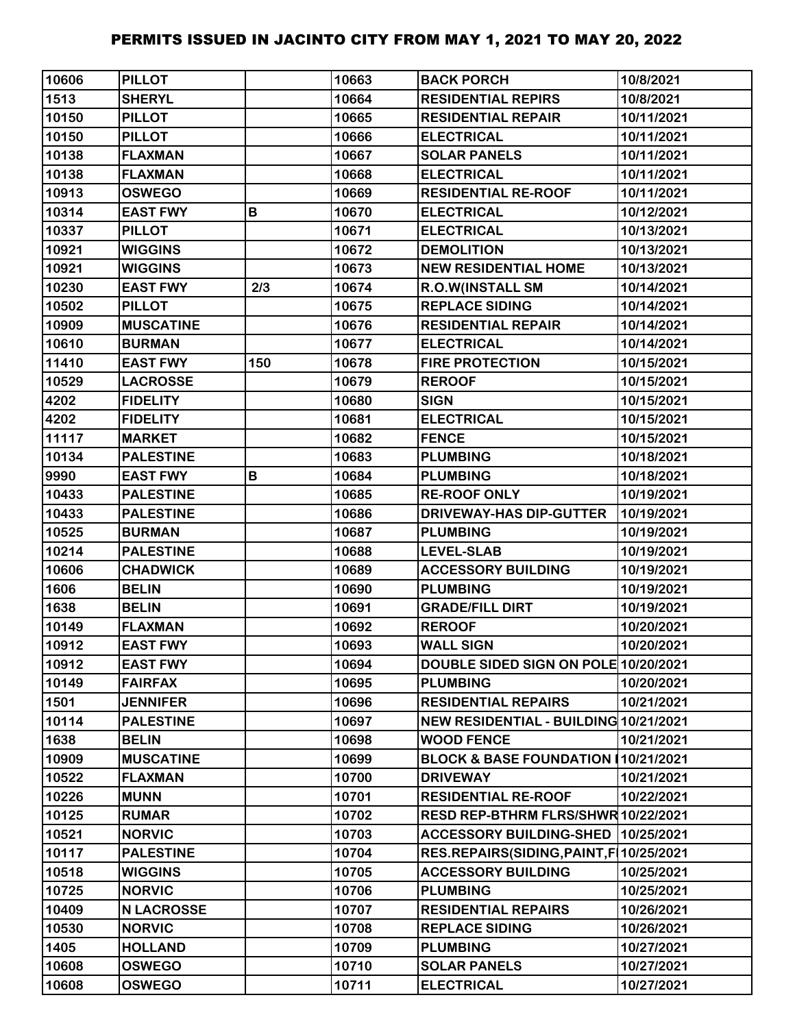| 10606 | <b>PILLOT</b>     |     | 10663 | <b>BACK PORCH</b>                         | 10/8/2021  |
|-------|-------------------|-----|-------|-------------------------------------------|------------|
| 1513  | <b>SHERYL</b>     |     | 10664 | <b>RESIDENTIAL REPIRS</b>                 | 10/8/2021  |
| 10150 | <b>PILLOT</b>     |     | 10665 | <b>RESIDENTIAL REPAIR</b>                 | 10/11/2021 |
| 10150 | <b>PILLOT</b>     |     | 10666 | <b>ELECTRICAL</b>                         | 10/11/2021 |
| 10138 | <b>FLAXMAN</b>    |     | 10667 | <b>SOLAR PANELS</b>                       | 10/11/2021 |
| 10138 | <b>FLAXMAN</b>    |     | 10668 | <b>ELECTRICAL</b>                         | 10/11/2021 |
| 10913 | <b>OSWEGO</b>     |     | 10669 | <b>RESIDENTIAL RE-ROOF</b>                | 10/11/2021 |
| 10314 | <b>EAST FWY</b>   | B   | 10670 | <b>ELECTRICAL</b>                         | 10/12/2021 |
| 10337 | <b>PILLOT</b>     |     | 10671 | <b>ELECTRICAL</b>                         | 10/13/2021 |
| 10921 | <b>WIGGINS</b>    |     | 10672 | <b>DEMOLITION</b>                         | 10/13/2021 |
| 10921 | <b>WIGGINS</b>    |     | 10673 | <b>NEW RESIDENTIAL HOME</b>               | 10/13/2021 |
| 10230 | <b>EAST FWY</b>   | 2/3 | 10674 | <b>R.O.W(INSTALL SM</b>                   | 10/14/2021 |
| 10502 | <b>PILLOT</b>     |     | 10675 | <b>REPLACE SIDING</b>                     | 10/14/2021 |
| 10909 | <b>MUSCATINE</b>  |     | 10676 | <b>RESIDENTIAL REPAIR</b>                 | 10/14/2021 |
| 10610 | <b>BURMAN</b>     |     | 10677 | <b>ELECTRICAL</b>                         | 10/14/2021 |
| 11410 | <b>EAST FWY</b>   | 150 | 10678 | <b>FIRE PROTECTION</b>                    | 10/15/2021 |
| 10529 | <b>LACROSSE</b>   |     | 10679 | <b>REROOF</b>                             | 10/15/2021 |
| 4202  | <b>FIDELITY</b>   |     | 10680 | <b>SIGN</b>                               | 10/15/2021 |
| 4202  | <b>FIDELITY</b>   |     | 10681 | <b>ELECTRICAL</b>                         | 10/15/2021 |
| 11117 | <b>MARKET</b>     |     | 10682 | <b>FENCE</b>                              | 10/15/2021 |
| 10134 | <b>PALESTINE</b>  |     | 10683 | <b>PLUMBING</b>                           | 10/18/2021 |
| 9990  | <b>EAST FWY</b>   | В   | 10684 | <b>PLUMBING</b>                           | 10/18/2021 |
| 10433 | <b>PALESTINE</b>  |     | 10685 | <b>RE-ROOF ONLY</b>                       | 10/19/2021 |
| 10433 | <b>PALESTINE</b>  |     | 10686 | <b>DRIVEWAY-HAS DIP-GUTTER</b>            | 10/19/2021 |
| 10525 | <b>BURMAN</b>     |     | 10687 | <b>PLUMBING</b>                           | 10/19/2021 |
| 10214 | <b>PALESTINE</b>  |     | 10688 | <b>LEVEL-SLAB</b>                         | 10/19/2021 |
| 10606 | <b>CHADWICK</b>   |     | 10689 | <b>ACCESSORY BUILDING</b>                 | 10/19/2021 |
| 1606  | <b>BELIN</b>      |     | 10690 | <b>PLUMBING</b>                           | 10/19/2021 |
| 1638  | <b>BELIN</b>      |     | 10691 | <b>GRADE/FILL DIRT</b>                    | 10/19/2021 |
| 10149 | <b>FLAXMAN</b>    |     | 10692 | <b>REROOF</b>                             | 10/20/2021 |
| 10912 | <b>EAST FWY</b>   |     | 10693 | <b>WALL SIGN</b>                          | 10/20/2021 |
| 10912 | <b>EAST FWY</b>   |     | 10694 | DOUBLE SIDED SIGN ON POLE 10/20/2021      |            |
| 10149 | <b>FAIRFAX</b>    |     | 10695 | <b>PLUMBING</b>                           | 10/20/2021 |
| 1501  | <b>JENNIFER</b>   |     | 10696 | <b>RESIDENTIAL REPAIRS</b>                | 10/21/2021 |
| 10114 | <b>PALESTINE</b>  |     | 10697 | NEW RESIDENTIAL - BUILDING 10/21/2021     |            |
| 1638  | <b>BELIN</b>      |     | 10698 | <b>WOOD FENCE</b>                         | 10/21/2021 |
| 10909 | <b>MUSCATINE</b>  |     | 10699 | BLOCK & BASE FOUNDATION 10/21/2021        |            |
| 10522 | <b>FLAXMAN</b>    |     | 10700 | <b>DRIVEWAY</b>                           | 10/21/2021 |
| 10226 | <b>MUNN</b>       |     | 10701 | <b>RESIDENTIAL RE-ROOF</b>                | 10/22/2021 |
| 10125 | <b>RUMAR</b>      |     | 10702 | RESD REP-BTHRM FLRS/SHWR 10/22/2021       |            |
| 10521 | <b>NORVIC</b>     |     | 10703 | ACCESSORY BUILDING-SHED   10/25/2021      |            |
| 10117 | <b>PALESTINE</b>  |     | 10704 | RES.REPAIRS(SIDING, PAINT, F   10/25/2021 |            |
| 10518 | <b>WIGGINS</b>    |     | 10705 | <b>ACCESSORY BUILDING</b>                 | 10/25/2021 |
| 10725 | <b>NORVIC</b>     |     | 10706 | <b>PLUMBING</b>                           | 10/25/2021 |
| 10409 | <b>N LACROSSE</b> |     | 10707 | <b>RESIDENTIAL REPAIRS</b>                | 10/26/2021 |
| 10530 | <b>NORVIC</b>     |     | 10708 | <b>REPLACE SIDING</b>                     | 10/26/2021 |
| 1405  | <b>HOLLAND</b>    |     | 10709 | <b>PLUMBING</b>                           | 10/27/2021 |
| 10608 | <b>OSWEGO</b>     |     | 10710 | <b>SOLAR PANELS</b>                       | 10/27/2021 |
| 10608 | <b>OSWEGO</b>     |     | 10711 | <b>ELECTRICAL</b>                         | 10/27/2021 |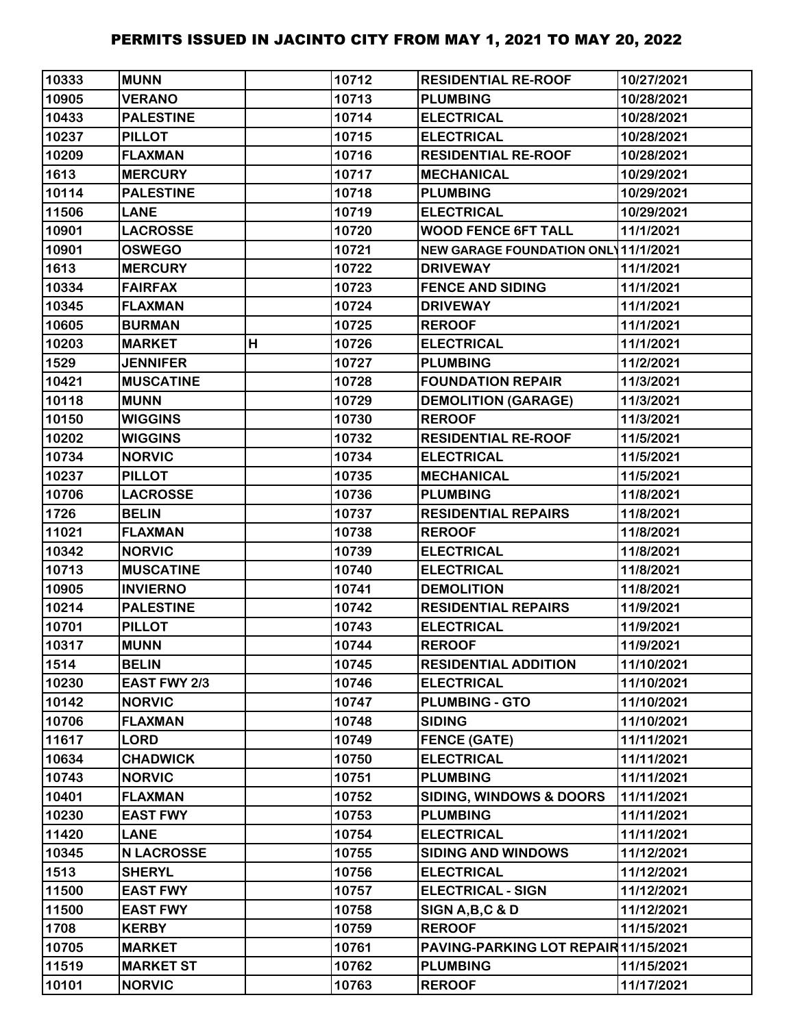| 10333 | <b>MUNN</b>       |   | 10712 | <b>RESIDENTIAL RE-ROOF</b>           | 10/27/2021 |
|-------|-------------------|---|-------|--------------------------------------|------------|
| 10905 | <b>VERANO</b>     |   | 10713 | <b>PLUMBING</b>                      | 10/28/2021 |
| 10433 | <b>PALESTINE</b>  |   | 10714 | <b>ELECTRICAL</b>                    | 10/28/2021 |
| 10237 | <b>PILLOT</b>     |   | 10715 | <b>ELECTRICAL</b>                    | 10/28/2021 |
| 10209 | <b>FLAXMAN</b>    |   | 10716 | <b>RESIDENTIAL RE-ROOF</b>           | 10/28/2021 |
| 1613  | <b>MERCURY</b>    |   | 10717 | <b>MECHANICAL</b>                    | 10/29/2021 |
| 10114 | <b>PALESTINE</b>  |   | 10718 | <b>PLUMBING</b>                      | 10/29/2021 |
| 11506 | <b>LANE</b>       |   | 10719 | <b>ELECTRICAL</b>                    | 10/29/2021 |
| 10901 | <b>LACROSSE</b>   |   | 10720 | <b>WOOD FENCE 6FT TALL</b>           | 11/1/2021  |
| 10901 | <b>OSWEGO</b>     |   | 10721 | NEW GARAGE FOUNDATION ONL 11/1/2021  |            |
| 1613  | <b>MERCURY</b>    |   | 10722 | <b>DRIVEWAY</b>                      | 11/1/2021  |
| 10334 | <b>FAIRFAX</b>    |   | 10723 | <b>FENCE AND SIDING</b>              | 11/1/2021  |
| 10345 | <b>FLAXMAN</b>    |   | 10724 | <b>DRIVEWAY</b>                      | 11/1/2021  |
| 10605 | <b>BURMAN</b>     |   | 10725 | <b>REROOF</b>                        | 11/1/2021  |
| 10203 | <b>MARKET</b>     | H | 10726 | <b>ELECTRICAL</b>                    | 11/1/2021  |
| 1529  | <b>JENNIFER</b>   |   | 10727 | <b>PLUMBING</b>                      | 11/2/2021  |
| 10421 | <b>MUSCATINE</b>  |   | 10728 | <b>FOUNDATION REPAIR</b>             | 11/3/2021  |
| 10118 | <b>MUNN</b>       |   | 10729 | <b>DEMOLITION (GARAGE)</b>           | 11/3/2021  |
| 10150 | <b>WIGGINS</b>    |   | 10730 | <b>REROOF</b>                        | 11/3/2021  |
| 10202 | <b>WIGGINS</b>    |   | 10732 | <b>RESIDENTIAL RE-ROOF</b>           | 11/5/2021  |
| 10734 | <b>NORVIC</b>     |   | 10734 | <b>ELECTRICAL</b>                    | 11/5/2021  |
| 10237 | <b>PILLOT</b>     |   | 10735 | <b>MECHANICAL</b>                    | 11/5/2021  |
| 10706 | <b>LACROSSE</b>   |   | 10736 | <b>PLUMBING</b>                      | 11/8/2021  |
| 1726  | <b>BELIN</b>      |   | 10737 | <b>RESIDENTIAL REPAIRS</b>           | 11/8/2021  |
| 11021 | <b>FLAXMAN</b>    |   | 10738 | <b>REROOF</b>                        | 11/8/2021  |
| 10342 | <b>NORVIC</b>     |   | 10739 | <b>ELECTRICAL</b>                    | 11/8/2021  |
| 10713 | <b>MUSCATINE</b>  |   | 10740 | <b>ELECTRICAL</b>                    | 11/8/2021  |
| 10905 | <b>INVIERNO</b>   |   | 10741 | <b>DEMOLITION</b>                    | 11/8/2021  |
| 10214 | <b>PALESTINE</b>  |   | 10742 | <b>RESIDENTIAL REPAIRS</b>           | 11/9/2021  |
| 10701 | <b>PILLOT</b>     |   | 10743 | <b>ELECTRICAL</b>                    | 11/9/2021  |
| 10317 | <b>MUNN</b>       |   | 10744 | <b>REROOF</b>                        | 11/9/2021  |
| 1514  | <b>BELIN</b>      |   | 10745 | <b>RESIDENTIAL ADDITION</b>          | 11/10/2021 |
| 10230 | EAST FWY 2/3      |   | 10746 | <b>ELECTRICAL</b>                    | 11/10/2021 |
| 10142 | <b>NORVIC</b>     |   | 10747 | <b>PLUMBING - GTO</b>                | 11/10/2021 |
| 10706 | <b>FLAXMAN</b>    |   | 10748 | <b>SIDING</b>                        | 11/10/2021 |
| 11617 | <b>LORD</b>       |   | 10749 | <b>FENCE (GATE)</b>                  | 11/11/2021 |
| 10634 | <b>CHADWICK</b>   |   | 10750 | <b>ELECTRICAL</b>                    | 11/11/2021 |
| 10743 | <b>NORVIC</b>     |   | 10751 | <b>PLUMBING</b>                      | 11/11/2021 |
| 10401 | <b>FLAXMAN</b>    |   | 10752 | <b>SIDING, WINDOWS &amp; DOORS</b>   | 11/11/2021 |
| 10230 | <b>EAST FWY</b>   |   | 10753 | <b>PLUMBING</b>                      | 11/11/2021 |
| 11420 | <b>LANE</b>       |   | 10754 | <b>ELECTRICAL</b>                    | 11/11/2021 |
| 10345 | <b>N LACROSSE</b> |   | 10755 | <b>SIDING AND WINDOWS</b>            | 11/12/2021 |
| 1513  | <b>SHERYL</b>     |   | 10756 | <b>ELECTRICAL</b>                    | 11/12/2021 |
| 11500 | <b>EAST FWY</b>   |   | 10757 | <b>ELECTRICAL - SIGN</b>             | 11/12/2021 |
| 11500 | <b>EAST FWY</b>   |   | 10758 | SIGN A, B, C & D                     | 11/12/2021 |
| 1708  | <b>KERBY</b>      |   | 10759 | <b>REROOF</b>                        | 11/15/2021 |
| 10705 | <b>MARKET</b>     |   | 10761 | PAVING-PARKING LOT REPAIR 11/15/2021 |            |
| 11519 | <b>MARKET ST</b>  |   | 10762 | <b>PLUMBING</b>                      | 11/15/2021 |
| 10101 | <b>NORVIC</b>     |   | 10763 | <b>REROOF</b>                        | 11/17/2021 |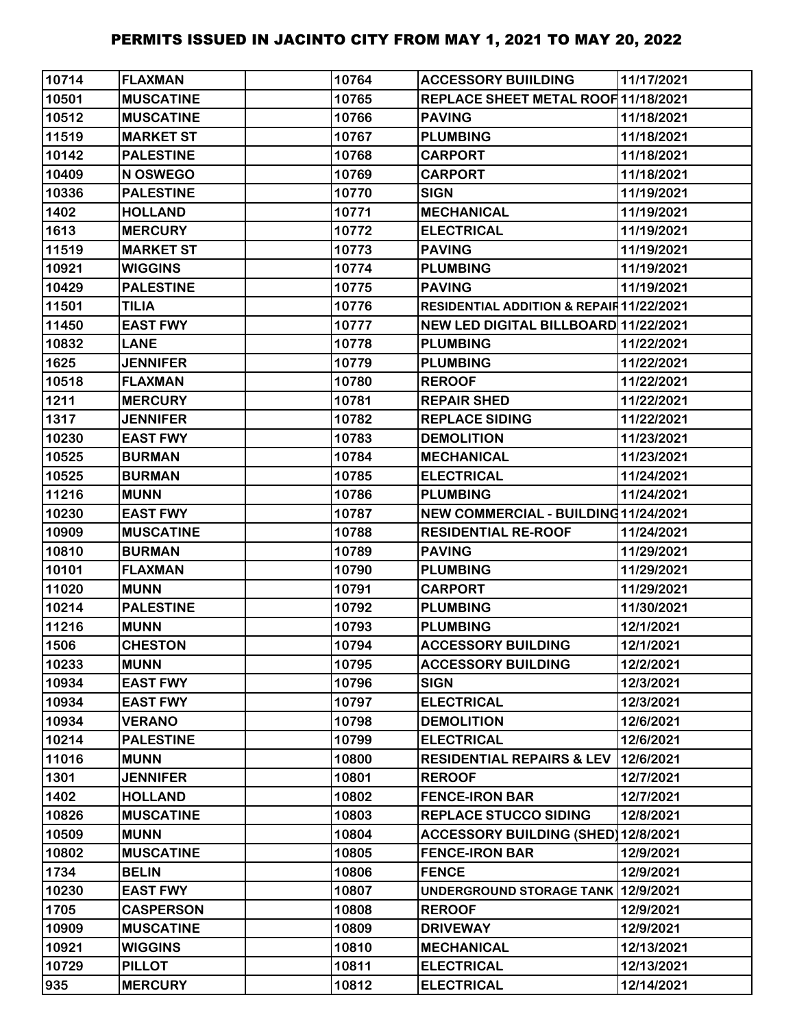| 10714 | <b>FLAXMAN</b>   | 10764 | <b>ACCESSORY BUILDING</b>                | 11/17/2021 |
|-------|------------------|-------|------------------------------------------|------------|
| 10501 | <b>MUSCATINE</b> | 10765 | REPLACE SHEET METAL ROOF 11/18/2021      |            |
| 10512 | <b>MUSCATINE</b> | 10766 | <b>PAVING</b>                            | 11/18/2021 |
| 11519 | <b>MARKET ST</b> | 10767 | <b>PLUMBING</b>                          | 11/18/2021 |
| 10142 | <b>PALESTINE</b> | 10768 | <b>CARPORT</b>                           | 11/18/2021 |
| 10409 | N OSWEGO         | 10769 | <b>CARPORT</b>                           | 11/18/2021 |
| 10336 | <b>PALESTINE</b> | 10770 | <b>SIGN</b>                              | 11/19/2021 |
| 1402  | <b>HOLLAND</b>   | 10771 | <b>MECHANICAL</b>                        | 11/19/2021 |
| 1613  | <b>MERCURY</b>   | 10772 | <b>ELECTRICAL</b>                        | 11/19/2021 |
| 11519 | <b>MARKET ST</b> | 10773 | <b>PAVING</b>                            | 11/19/2021 |
| 10921 | <b>WIGGINS</b>   | 10774 | <b>PLUMBING</b>                          | 11/19/2021 |
| 10429 | <b>PALESTINE</b> | 10775 | <b>PAVING</b>                            | 11/19/2021 |
| 11501 | <b>TILIA</b>     | 10776 | RESIDENTIAL ADDITION & REPAIR 11/22/2021 |            |
| 11450 | <b>EAST FWY</b>  | 10777 | NEW LED DIGITAL BILLBOARD 11/22/2021     |            |
| 10832 | <b>LANE</b>      | 10778 | <b>PLUMBING</b>                          | 11/22/2021 |
| 1625  | <b>JENNIFER</b>  | 10779 | <b>PLUMBING</b>                          | 11/22/2021 |
| 10518 | <b>FLAXMAN</b>   | 10780 | <b>REROOF</b>                            | 11/22/2021 |
| 1211  | <b>MERCURY</b>   | 10781 | <b>REPAIR SHED</b>                       | 11/22/2021 |
| 1317  | <b>JENNIFER</b>  | 10782 | <b>REPLACE SIDING</b>                    | 11/22/2021 |
| 10230 | <b>EAST FWY</b>  | 10783 | <b>DEMOLITION</b>                        | 11/23/2021 |
| 10525 | <b>BURMAN</b>    | 10784 | <b>MECHANICAL</b>                        | 11/23/2021 |
| 10525 | <b>BURMAN</b>    | 10785 | <b>ELECTRICAL</b>                        | 11/24/2021 |
| 11216 | <b>MUNN</b>      | 10786 | <b>PLUMBING</b>                          | 11/24/2021 |
| 10230 | <b>EAST FWY</b>  | 10787 | NEW COMMERCIAL - BUILDING11/24/2021      |            |
| 10909 | <b>MUSCATINE</b> | 10788 | <b>RESIDENTIAL RE-ROOF</b>               | 11/24/2021 |
| 10810 | <b>BURMAN</b>    | 10789 | <b>PAVING</b>                            | 11/29/2021 |
| 10101 | <b>FLAXMAN</b>   | 10790 | <b>PLUMBING</b>                          | 11/29/2021 |
| 11020 | <b>MUNN</b>      | 10791 | <b>CARPORT</b>                           | 11/29/2021 |
| 10214 | <b>PALESTINE</b> | 10792 | <b>PLUMBING</b>                          | 11/30/2021 |
| 11216 | <b>MUNN</b>      | 10793 | <b>PLUMBING</b>                          | 12/1/2021  |
| 1506  | <b>CHESTON</b>   | 10794 | <b>ACCESSORY BUILDING</b>                | 12/1/2021  |
| 10233 | <b>MUNN</b>      | 10795 | <b>ACCESSORY BUILDING</b>                | 12/2/2021  |
| 10934 | <b>EAST FWY</b>  | 10796 | <b>SIGN</b>                              | 12/3/2021  |
| 10934 | <b>EAST FWY</b>  | 10797 | <b>ELECTRICAL</b>                        | 12/3/2021  |
| 10934 | <b>VERANO</b>    | 10798 | <b>DEMOLITION</b>                        | 12/6/2021  |
| 10214 | <b>PALESTINE</b> | 10799 | <b>ELECTRICAL</b>                        | 12/6/2021  |
| 11016 | <b>MUNN</b>      | 10800 | <b>RESIDENTIAL REPAIRS &amp; LEV</b>     | 12/6/2021  |
| 1301  | <b>JENNIFER</b>  | 10801 | <b>REROOF</b>                            | 12/7/2021  |
| 1402  | <b>HOLLAND</b>   | 10802 | <b>FENCE-IRON BAR</b>                    | 12/7/2021  |
| 10826 | <b>MUSCATINE</b> | 10803 | <b>REPLACE STUCCO SIDING</b>             | 12/8/2021  |
| 10509 | <b>MUNN</b>      | 10804 | ACCESSORY BUILDING (SHED) 12/8/2021      |            |
| 10802 | <b>MUSCATINE</b> | 10805 | <b>FENCE-IRON BAR</b>                    | 12/9/2021  |
| 1734  | <b>BELIN</b>     | 10806 | <b>FENCE</b>                             | 12/9/2021  |
| 10230 | <b>EAST FWY</b>  | 10807 | UNDERGROUND STORAGE TANK 12/9/2021       |            |
| 1705  | <b>CASPERSON</b> | 10808 | <b>REROOF</b>                            | 12/9/2021  |
| 10909 | <b>MUSCATINE</b> | 10809 | <b>DRIVEWAY</b>                          | 12/9/2021  |
| 10921 | <b>WIGGINS</b>   | 10810 | <b>MECHANICAL</b>                        | 12/13/2021 |
| 10729 | <b>PILLOT</b>    | 10811 | <b>ELECTRICAL</b>                        | 12/13/2021 |
| 935   | <b>MERCURY</b>   | 10812 | <b>ELECTRICAL</b>                        | 12/14/2021 |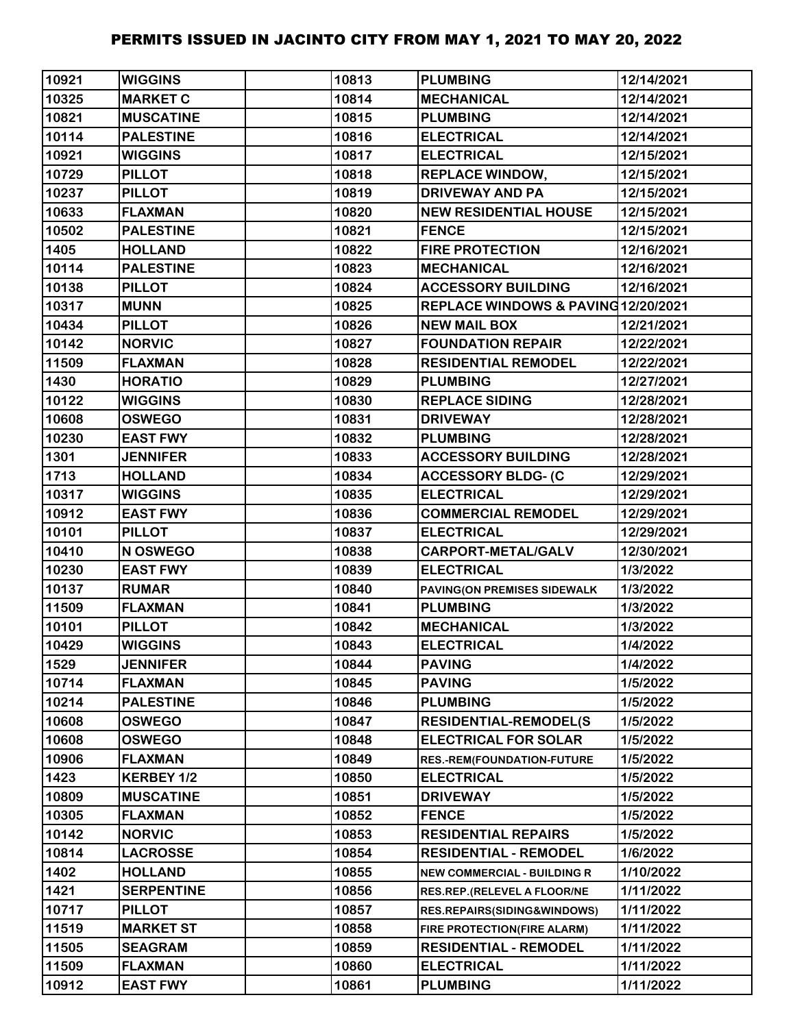| 10921 | <b>WIGGINS</b>    | 10813 | <b>PLUMBING</b>                     | 12/14/2021 |
|-------|-------------------|-------|-------------------------------------|------------|
| 10325 | <b>MARKET C</b>   | 10814 | <b>MECHANICAL</b>                   | 12/14/2021 |
| 10821 | <b>MUSCATINE</b>  | 10815 | <b>PLUMBING</b>                     | 12/14/2021 |
| 10114 | <b>PALESTINE</b>  | 10816 | <b>ELECTRICAL</b>                   | 12/14/2021 |
| 10921 | <b>WIGGINS</b>    | 10817 | <b>ELECTRICAL</b>                   | 12/15/2021 |
| 10729 | <b>PILLOT</b>     | 10818 | <b>REPLACE WINDOW,</b>              | 12/15/2021 |
| 10237 | <b>PILLOT</b>     | 10819 | <b>DRIVEWAY AND PA</b>              | 12/15/2021 |
| 10633 | <b>FLAXMAN</b>    | 10820 | <b>NEW RESIDENTIAL HOUSE</b>        | 12/15/2021 |
| 10502 | <b>PALESTINE</b>  | 10821 | <b>FENCE</b>                        | 12/15/2021 |
| 1405  | <b>HOLLAND</b>    | 10822 | <b>FIRE PROTECTION</b>              | 12/16/2021 |
| 10114 | <b>PALESTINE</b>  | 10823 | <b>MECHANICAL</b>                   | 12/16/2021 |
| 10138 | <b>PILLOT</b>     | 10824 | <b>ACCESSORY BUILDING</b>           | 12/16/2021 |
| 10317 | <b>MUNN</b>       | 10825 | REPLACE WINDOWS & PAVING 12/20/2021 |            |
| 10434 | <b>PILLOT</b>     | 10826 | <b>NEW MAIL BOX</b>                 | 12/21/2021 |
| 10142 | <b>NORVIC</b>     | 10827 | <b>FOUNDATION REPAIR</b>            | 12/22/2021 |
| 11509 | <b>FLAXMAN</b>    | 10828 | <b>RESIDENTIAL REMODEL</b>          | 12/22/2021 |
| 1430  | <b>HORATIO</b>    | 10829 | <b>PLUMBING</b>                     | 12/27/2021 |
| 10122 | <b>WIGGINS</b>    | 10830 | <b>REPLACE SIDING</b>               | 12/28/2021 |
| 10608 | <b>OSWEGO</b>     | 10831 | <b>DRIVEWAY</b>                     | 12/28/2021 |
| 10230 | <b>EAST FWY</b>   | 10832 | <b>PLUMBING</b>                     | 12/28/2021 |
| 1301  | <b>JENNIFER</b>   | 10833 | <b>ACCESSORY BUILDING</b>           | 12/28/2021 |
| 1713  | <b>HOLLAND</b>    | 10834 | <b>ACCESSORY BLDG- (C</b>           | 12/29/2021 |
| 10317 | <b>WIGGINS</b>    | 10835 | <b>ELECTRICAL</b>                   | 12/29/2021 |
| 10912 | <b>EAST FWY</b>   | 10836 | <b>COMMERCIAL REMODEL</b>           | 12/29/2021 |
| 10101 | <b>PILLOT</b>     | 10837 | <b>ELECTRICAL</b>                   | 12/29/2021 |
| 10410 | N OSWEGO          | 10838 | <b>CARPORT-METAL/GALV</b>           | 12/30/2021 |
| 10230 | <b>EAST FWY</b>   | 10839 | <b>ELECTRICAL</b>                   | 1/3/2022   |
| 10137 | <b>RUMAR</b>      | 10840 | PAVING(ON PREMISES SIDEWALK         | 1/3/2022   |
| 11509 | <b>FLAXMAN</b>    | 10841 | <b>PLUMBING</b>                     | 1/3/2022   |
| 10101 | <b>PILLOT</b>     | 10842 | <b>MECHANICAL</b>                   | 1/3/2022   |
| 10429 | <b>WIGGINS</b>    | 10843 | <b>ELECTRICAL</b>                   | 1/4/2022   |
| 1529  | <b>JENNIFER</b>   | 10844 | <b>PAVING</b>                       | 1/4/2022   |
| 10714 | <b>FLAXMAN</b>    | 10845 | <b>PAVING</b>                       | 1/5/2022   |
| 10214 | <b>PALESTINE</b>  | 10846 | <b>PLUMBING</b>                     | 1/5/2022   |
| 10608 | <b>OSWEGO</b>     | 10847 | <b>RESIDENTIAL-REMODEL(S</b>        | 1/5/2022   |
| 10608 | <b>OSWEGO</b>     | 10848 | <b>ELECTRICAL FOR SOLAR</b>         | 1/5/2022   |
| 10906 | <b>FLAXMAN</b>    | 10849 | RES.-REM(FOUNDATION-FUTURE          | 1/5/2022   |
| 1423  | KERBEY 1/2        | 10850 | <b>ELECTRICAL</b>                   | 1/5/2022   |
| 10809 | <b>MUSCATINE</b>  | 10851 | <b>DRIVEWAY</b>                     | 1/5/2022   |
| 10305 | <b>FLAXMAN</b>    | 10852 | <b>FENCE</b>                        | 1/5/2022   |
| 10142 | <b>NORVIC</b>     | 10853 | <b>RESIDENTIAL REPAIRS</b>          | 1/5/2022   |
| 10814 | <b>LACROSSE</b>   | 10854 | <b>RESIDENTIAL - REMODEL</b>        | 1/6/2022   |
| 1402  | <b>HOLLAND</b>    | 10855 | <b>NEW COMMERCIAL - BUILDING R</b>  | 1/10/2022  |
| 1421  | <b>SERPENTINE</b> | 10856 | RES.REP.(RELEVEL A FLOOR/NE         | 1/11/2022  |
| 10717 | <b>PILLOT</b>     | 10857 | RES.REPAIRS(SIDING&WINDOWS)         | 1/11/2022  |
| 11519 | <b>MARKET ST</b>  | 10858 | FIRE PROTECTION(FIRE ALARM)         | 1/11/2022  |
| 11505 | <b>SEAGRAM</b>    | 10859 | <b>RESIDENTIAL - REMODEL</b>        | 1/11/2022  |
| 11509 | <b>FLAXMAN</b>    | 10860 | <b>ELECTRICAL</b>                   | 1/11/2022  |
| 10912 | <b>EAST FWY</b>   | 10861 | <b>PLUMBING</b>                     | 1/11/2022  |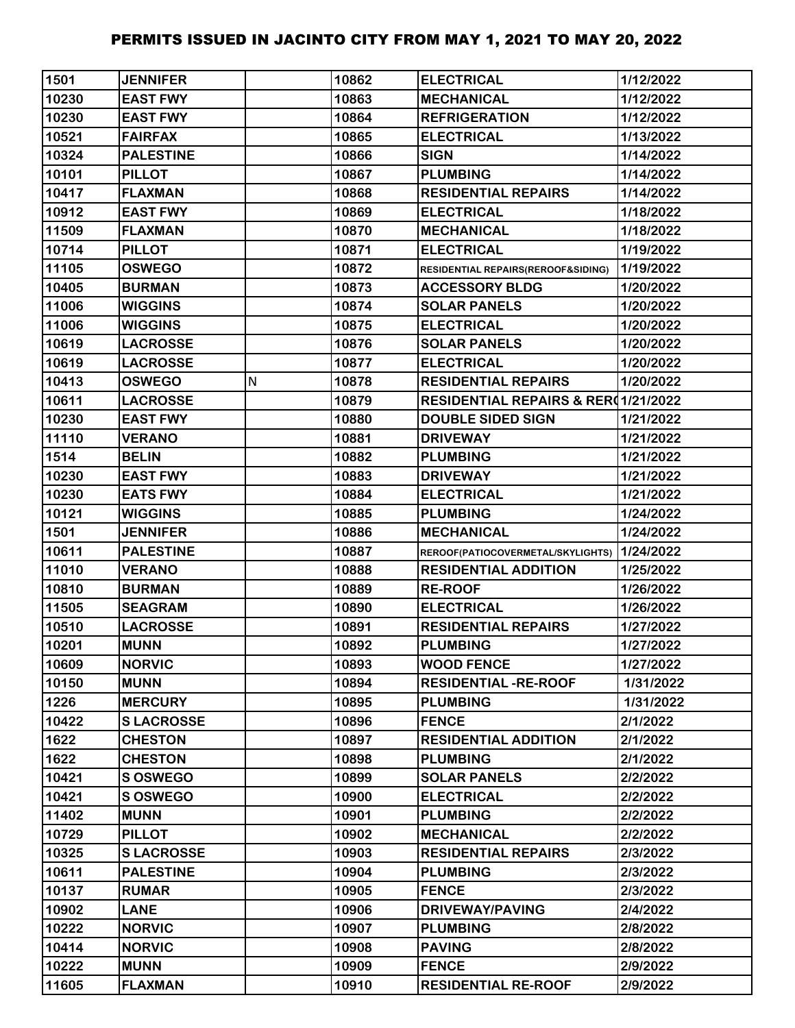| 1501  | <b>JENNIFER</b>  |   | 10862 | <b>ELECTRICAL</b>                           | 1/12/2022 |
|-------|------------------|---|-------|---------------------------------------------|-----------|
| 10230 | <b>EAST FWY</b>  |   | 10863 | <b>MECHANICAL</b>                           | 1/12/2022 |
| 10230 | <b>EAST FWY</b>  |   | 10864 | <b>REFRIGERATION</b>                        | 1/12/2022 |
| 10521 | <b>FAIRFAX</b>   |   | 10865 | <b>ELECTRICAL</b>                           | 1/13/2022 |
| 10324 | <b>PALESTINE</b> |   | 10866 | <b>SIGN</b>                                 | 1/14/2022 |
| 10101 | <b>PILLOT</b>    |   | 10867 | <b>PLUMBING</b>                             | 1/14/2022 |
| 10417 | <b>FLAXMAN</b>   |   | 10868 | <b>RESIDENTIAL REPAIRS</b>                  | 1/14/2022 |
| 10912 | <b>EAST FWY</b>  |   | 10869 | <b>ELECTRICAL</b>                           | 1/18/2022 |
| 11509 | <b>FLAXMAN</b>   |   | 10870 | <b>MECHANICAL</b>                           | 1/18/2022 |
| 10714 | <b>PILLOT</b>    |   | 10871 | <b>ELECTRICAL</b>                           | 1/19/2022 |
| 11105 | <b>OSWEGO</b>    |   | 10872 | RESIDENTIAL REPAIRS(REROOF&SIDING)          | 1/19/2022 |
| 10405 | <b>BURMAN</b>    |   | 10873 | <b>ACCESSORY BLDG</b>                       | 1/20/2022 |
| 11006 | <b>WIGGINS</b>   |   | 10874 | <b>SOLAR PANELS</b>                         | 1/20/2022 |
| 11006 | <b>WIGGINS</b>   |   | 10875 | <b>ELECTRICAL</b>                           | 1/20/2022 |
| 10619 | <b>LACROSSE</b>  |   | 10876 | <b>SOLAR PANELS</b>                         | 1/20/2022 |
| 10619 | <b>LACROSSE</b>  |   | 10877 | <b>ELECTRICAL</b>                           | 1/20/2022 |
| 10413 | <b>OSWEGO</b>    | N | 10878 | <b>RESIDENTIAL REPAIRS</b>                  | 1/20/2022 |
| 10611 | <b>LACROSSE</b>  |   | 10879 | RESIDENTIAL REPAIRS & RER(1/21/2022         |           |
| 10230 | <b>EAST FWY</b>  |   | 10880 | <b>DOUBLE SIDED SIGN</b>                    | 1/21/2022 |
| 11110 | <b>VERANO</b>    |   | 10881 | <b>DRIVEWAY</b>                             | 1/21/2022 |
| 1514  | <b>BELIN</b>     |   | 10882 | <b>PLUMBING</b>                             | 1/21/2022 |
| 10230 | <b>EAST FWY</b>  |   | 10883 | <b>DRIVEWAY</b>                             | 1/21/2022 |
| 10230 | <b>EATS FWY</b>  |   | 10884 | <b>ELECTRICAL</b>                           | 1/21/2022 |
| 10121 | <b>WIGGINS</b>   |   | 10885 | <b>PLUMBING</b>                             | 1/24/2022 |
| 1501  | <b>JENNIFER</b>  |   | 10886 | <b>MECHANICAL</b>                           | 1/24/2022 |
| 10611 | <b>PALESTINE</b> |   | 10887 | REROOF(PATIOCOVERMETAL/SKYLIGHTS) 1/24/2022 |           |
| 11010 | <b>VERANO</b>    |   | 10888 | <b>RESIDENTIAL ADDITION</b>                 | 1/25/2022 |
| 10810 | <b>BURMAN</b>    |   | 10889 | <b>RE-ROOF</b>                              | 1/26/2022 |
| 11505 | <b>SEAGRAM</b>   |   | 10890 | <b>ELECTRICAL</b>                           | 1/26/2022 |
| 10510 | <b>LACROSSE</b>  |   | 10891 | <b>RESIDENTIAL REPAIRS</b>                  | 1/27/2022 |
| 10201 | <b>MUNN</b>      |   | 10892 | <b>PLUMBING</b>                             | 1/27/2022 |
| 10609 | <b>NORVIC</b>    |   | 10893 | <b>WOOD FENCE</b>                           | 1/27/2022 |
| 10150 | <b>MUNN</b>      |   | 10894 | <b>RESIDENTIAL -RE-ROOF</b>                 | 1/31/2022 |
| 1226  | <b>MERCURY</b>   |   | 10895 | <b>PLUMBING</b>                             | 1/31/2022 |
| 10422 | <b>SLACROSSE</b> |   | 10896 | <b>FENCE</b>                                | 2/1/2022  |
| 1622  | <b>CHESTON</b>   |   | 10897 | <b>RESIDENTIAL ADDITION</b>                 | 2/1/2022  |
| 1622  | <b>CHESTON</b>   |   | 10898 | <b>PLUMBING</b>                             | 2/1/2022  |
| 10421 | <b>S OSWEGO</b>  |   | 10899 | <b>SOLAR PANELS</b>                         | 2/2/2022  |
| 10421 | S OSWEGO         |   | 10900 | <b>ELECTRICAL</b>                           | 2/2/2022  |
| 11402 | <b>MUNN</b>      |   | 10901 | <b>PLUMBING</b>                             | 2/2/2022  |
| 10729 | <b>PILLOT</b>    |   | 10902 | <b>MECHANICAL</b>                           | 2/2/2022  |
| 10325 | <b>SLACROSSE</b> |   | 10903 | <b>RESIDENTIAL REPAIRS</b>                  | 2/3/2022  |
| 10611 | <b>PALESTINE</b> |   | 10904 | <b>PLUMBING</b>                             | 2/3/2022  |
| 10137 | <b>RUMAR</b>     |   | 10905 | <b>FENCE</b>                                | 2/3/2022  |
| 10902 | <b>LANE</b>      |   | 10906 | <b>DRIVEWAY/PAVING</b>                      | 2/4/2022  |
| 10222 | <b>NORVIC</b>    |   | 10907 | <b>PLUMBING</b>                             | 2/8/2022  |
| 10414 | <b>NORVIC</b>    |   | 10908 | <b>PAVING</b>                               | 2/8/2022  |
| 10222 | <b>MUNN</b>      |   | 10909 | <b>FENCE</b>                                | 2/9/2022  |
| 11605 | <b>FLAXMAN</b>   |   | 10910 | <b>RESIDENTIAL RE-ROOF</b>                  | 2/9/2022  |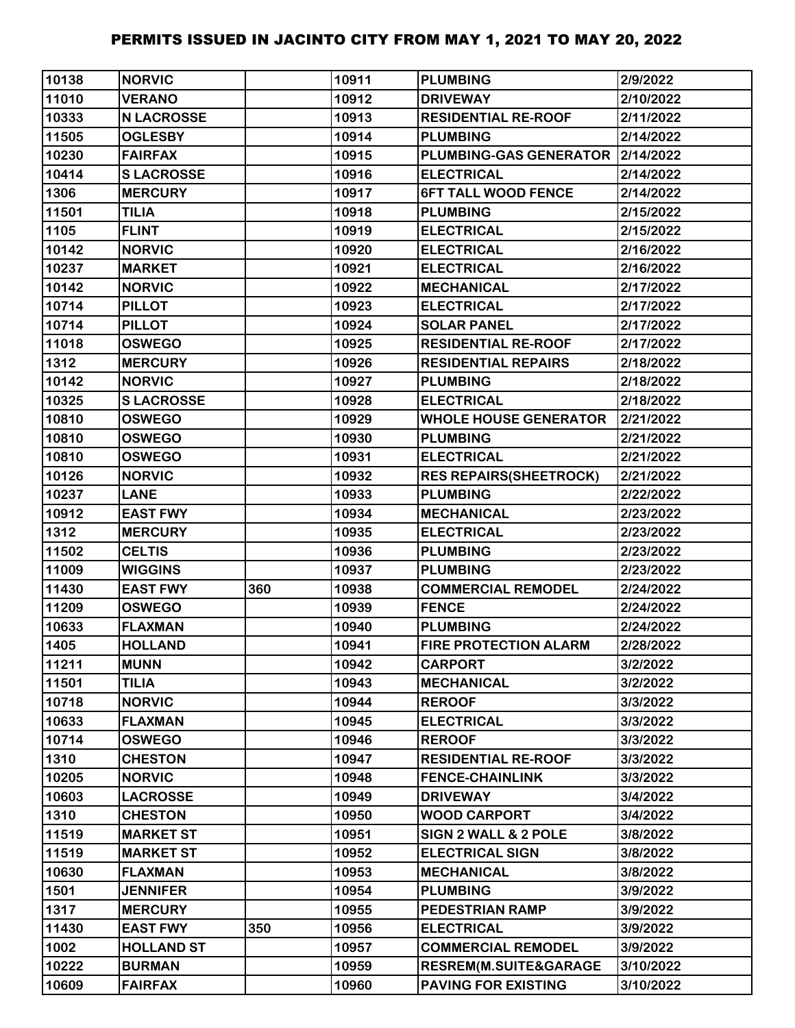| 10138 | <b>NORVIC</b>     |     | 10911 | <b>PLUMBING</b>                    | 2/9/2022  |
|-------|-------------------|-----|-------|------------------------------------|-----------|
| 11010 | <b>VERANO</b>     |     | 10912 | <b>DRIVEWAY</b>                    | 2/10/2022 |
| 10333 | <b>N LACROSSE</b> |     | 10913 | <b>RESIDENTIAL RE-ROOF</b>         | 2/11/2022 |
| 11505 | <b>OGLESBY</b>    |     | 10914 | <b>PLUMBING</b>                    | 2/14/2022 |
| 10230 | <b>FAIRFAX</b>    |     | 10915 | PLUMBING-GAS GENERATOR   2/14/2022 |           |
| 10414 | <b>SLACROSSE</b>  |     | 10916 | <b>ELECTRICAL</b>                  | 2/14/2022 |
| 1306  | <b>MERCURY</b>    |     | 10917 | <b>6FT TALL WOOD FENCE</b>         | 2/14/2022 |
| 11501 | <b>TILIA</b>      |     | 10918 | <b>PLUMBING</b>                    | 2/15/2022 |
| 1105  | <b>FLINT</b>      |     | 10919 | <b>ELECTRICAL</b>                  | 2/15/2022 |
| 10142 | <b>NORVIC</b>     |     | 10920 | <b>ELECTRICAL</b>                  | 2/16/2022 |
| 10237 | <b>MARKET</b>     |     | 10921 | <b>ELECTRICAL</b>                  | 2/16/2022 |
| 10142 | <b>NORVIC</b>     |     | 10922 | <b>MECHANICAL</b>                  | 2/17/2022 |
| 10714 | <b>PILLOT</b>     |     | 10923 | <b>ELECTRICAL</b>                  | 2/17/2022 |
| 10714 | <b>PILLOT</b>     |     | 10924 | <b>SOLAR PANEL</b>                 | 2/17/2022 |
| 11018 | <b>OSWEGO</b>     |     | 10925 | <b>RESIDENTIAL RE-ROOF</b>         | 2/17/2022 |
| 1312  | <b>MERCURY</b>    |     | 10926 | <b>RESIDENTIAL REPAIRS</b>         | 2/18/2022 |
| 10142 | <b>NORVIC</b>     |     | 10927 | <b>PLUMBING</b>                    | 2/18/2022 |
| 10325 | <b>SLACROSSE</b>  |     | 10928 | <b>ELECTRICAL</b>                  | 2/18/2022 |
| 10810 | <b>OSWEGO</b>     |     | 10929 | <b>WHOLE HOUSE GENERATOR</b>       | 2/21/2022 |
| 10810 | <b>OSWEGO</b>     |     | 10930 | <b>PLUMBING</b>                    | 2/21/2022 |
| 10810 | <b>OSWEGO</b>     |     | 10931 | <b>ELECTRICAL</b>                  | 2/21/2022 |
| 10126 | <b>NORVIC</b>     |     | 10932 | <b>RES REPAIRS(SHEETROCK)</b>      | 2/21/2022 |
| 10237 | <b>LANE</b>       |     | 10933 | <b>PLUMBING</b>                    | 2/22/2022 |
| 10912 | <b>EAST FWY</b>   |     | 10934 | <b>MECHANICAL</b>                  | 2/23/2022 |
| 1312  | <b>MERCURY</b>    |     | 10935 | <b>ELECTRICAL</b>                  | 2/23/2022 |
| 11502 | <b>CELTIS</b>     |     | 10936 | <b>PLUMBING</b>                    | 2/23/2022 |
| 11009 | <b>WIGGINS</b>    |     | 10937 | <b>PLUMBING</b>                    | 2/23/2022 |
| 11430 | <b>EAST FWY</b>   | 360 | 10938 | <b>COMMERCIAL REMODEL</b>          | 2/24/2022 |
| 11209 | <b>OSWEGO</b>     |     | 10939 | <b>FENCE</b>                       | 2/24/2022 |
| 10633 | <b>FLAXMAN</b>    |     | 10940 | <b>PLUMBING</b>                    | 2/24/2022 |
| 1405  | <b>HOLLAND</b>    |     | 10941 | <b>FIRE PROTECTION ALARM</b>       | 2/28/2022 |
| 11211 | <b>MUNN</b>       |     | 10942 | <b>CARPORT</b>                     | 3/2/2022  |
| 11501 | <b>TILIA</b>      |     | 10943 | <b>MECHANICAL</b>                  | 3/2/2022  |
| 10718 | <b>NORVIC</b>     |     | 10944 | <b>REROOF</b>                      | 3/3/2022  |
| 10633 | <b>FLAXMAN</b>    |     | 10945 | <b>ELECTRICAL</b>                  | 3/3/2022  |
| 10714 | <b>OSWEGO</b>     |     | 10946 | <b>REROOF</b>                      | 3/3/2022  |
| 1310  | <b>CHESTON</b>    |     | 10947 | <b>RESIDENTIAL RE-ROOF</b>         | 3/3/2022  |
| 10205 | <b>NORVIC</b>     |     | 10948 | <b>FENCE-CHAINLINK</b>             | 3/3/2022  |
| 10603 | <b>LACROSSE</b>   |     | 10949 | <b>DRIVEWAY</b>                    | 3/4/2022  |
| 1310  | <b>CHESTON</b>    |     | 10950 | <b>WOOD CARPORT</b>                | 3/4/2022  |
| 11519 | <b>MARKET ST</b>  |     | 10951 | SIGN 2 WALL & 2 POLE               | 3/8/2022  |
| 11519 | <b>MARKET ST</b>  |     | 10952 | <b>ELECTRICAL SIGN</b>             | 3/8/2022  |
| 10630 | <b>FLAXMAN</b>    |     | 10953 | <b>MECHANICAL</b>                  | 3/8/2022  |
| 1501  | <b>JENNIFER</b>   |     | 10954 | <b>PLUMBING</b>                    | 3/9/2022  |
| 1317  | <b>MERCURY</b>    |     | 10955 | <b>PEDESTRIAN RAMP</b>             | 3/9/2022  |
| 11430 | <b>EAST FWY</b>   | 350 | 10956 | <b>ELECTRICAL</b>                  | 3/9/2022  |
| 1002  | <b>HOLLAND ST</b> |     | 10957 | <b>COMMERCIAL REMODEL</b>          | 3/9/2022  |
| 10222 | <b>BURMAN</b>     |     | 10959 | <b>RESREM(M.SUITE&amp;GARAGE</b>   | 3/10/2022 |
| 10609 | <b>FAIRFAX</b>    |     | 10960 | <b>PAVING FOR EXISTING</b>         | 3/10/2022 |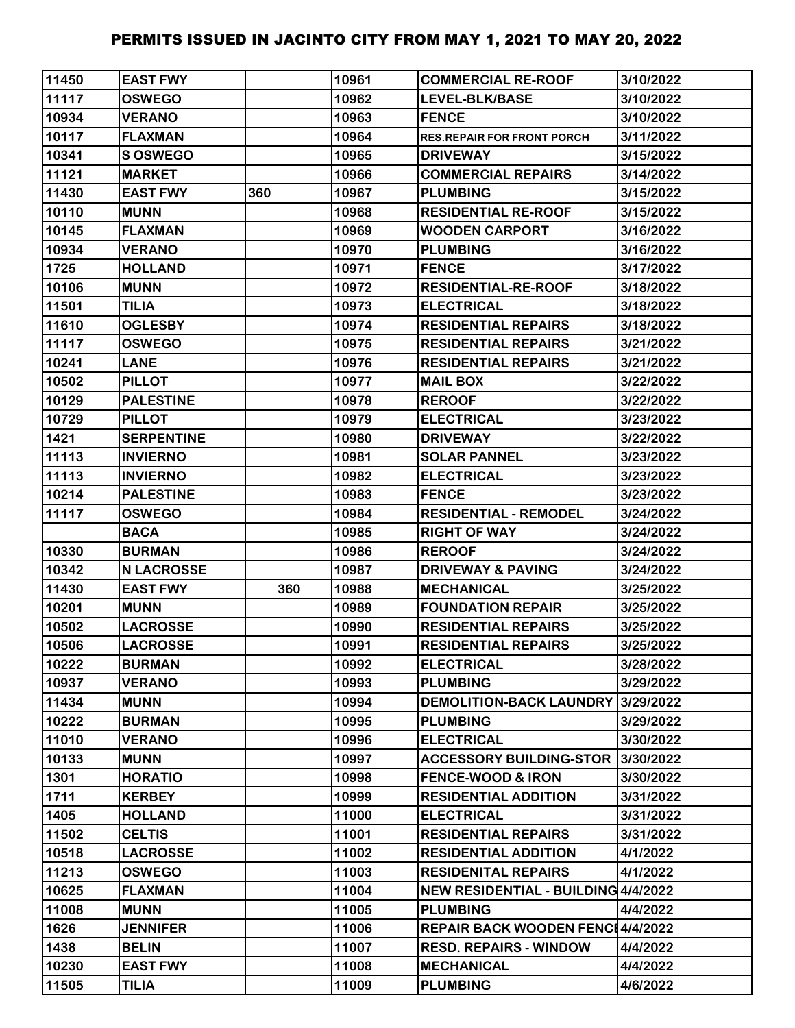| 11450 | <b>EAST FWY</b>   |     | 10961 | <b>COMMERCIAL RE-ROOF</b>           | 3/10/2022 |
|-------|-------------------|-----|-------|-------------------------------------|-----------|
| 11117 | <b>OSWEGO</b>     |     | 10962 | LEVEL-BLK/BASE                      | 3/10/2022 |
| 10934 | <b>VERANO</b>     |     | 10963 | <b>FENCE</b>                        | 3/10/2022 |
| 10117 | <b>FLAXMAN</b>    |     | 10964 | <b>RES.REPAIR FOR FRONT PORCH</b>   | 3/11/2022 |
| 10341 | S OSWEGO          |     | 10965 | <b>DRIVEWAY</b>                     | 3/15/2022 |
| 11121 | <b>MARKET</b>     |     | 10966 | <b>COMMERCIAL REPAIRS</b>           | 3/14/2022 |
| 11430 | <b>EAST FWY</b>   | 360 | 10967 | <b>PLUMBING</b>                     | 3/15/2022 |
| 10110 | <b>MUNN</b>       |     | 10968 | <b>RESIDENTIAL RE-ROOF</b>          | 3/15/2022 |
| 10145 | <b>FLAXMAN</b>    |     | 10969 | <b>WOODEN CARPORT</b>               | 3/16/2022 |
| 10934 | <b>VERANO</b>     |     | 10970 | <b>PLUMBING</b>                     | 3/16/2022 |
| 1725  | <b>HOLLAND</b>    |     | 10971 | <b>FENCE</b>                        | 3/17/2022 |
| 10106 | <b>MUNN</b>       |     | 10972 | <b>RESIDENTIAL-RE-ROOF</b>          | 3/18/2022 |
| 11501 | <b>TILIA</b>      |     | 10973 | <b>ELECTRICAL</b>                   | 3/18/2022 |
| 11610 | <b>OGLESBY</b>    |     | 10974 | <b>RESIDENTIAL REPAIRS</b>          | 3/18/2022 |
| 11117 | <b>OSWEGO</b>     |     | 10975 | <b>RESIDENTIAL REPAIRS</b>          | 3/21/2022 |
| 10241 | <b>LANE</b>       |     | 10976 | <b>RESIDENTIAL REPAIRS</b>          | 3/21/2022 |
| 10502 | <b>PILLOT</b>     |     | 10977 | <b>MAIL BOX</b>                     | 3/22/2022 |
| 10129 | <b>PALESTINE</b>  |     | 10978 | <b>REROOF</b>                       | 3/22/2022 |
| 10729 | <b>PILLOT</b>     |     | 10979 | <b>ELECTRICAL</b>                   | 3/23/2022 |
| 1421  | <b>SERPENTINE</b> |     | 10980 | <b>DRIVEWAY</b>                     | 3/22/2022 |
| 11113 | <b>INVIERNO</b>   |     | 10981 | <b>SOLAR PANNEL</b>                 | 3/23/2022 |
| 11113 | <b>INVIERNO</b>   |     | 10982 | <b>ELECTRICAL</b>                   | 3/23/2022 |
| 10214 | <b>PALESTINE</b>  |     | 10983 | <b>FENCE</b>                        | 3/23/2022 |
| 11117 | <b>OSWEGO</b>     |     | 10984 | <b>RESIDENTIAL - REMODEL</b>        | 3/24/2022 |
|       | <b>BACA</b>       |     | 10985 | <b>RIGHT OF WAY</b>                 | 3/24/2022 |
| 10330 | <b>BURMAN</b>     |     | 10986 | <b>REROOF</b>                       | 3/24/2022 |
| 10342 | <b>N LACROSSE</b> |     | 10987 | <b>DRIVEWAY &amp; PAVING</b>        | 3/24/2022 |
| 11430 | <b>EAST FWY</b>   | 360 | 10988 | <b>MECHANICAL</b>                   | 3/25/2022 |
| 10201 | <b>MUNN</b>       |     | 10989 | <b>FOUNDATION REPAIR</b>            | 3/25/2022 |
| 10502 | <b>LACROSSE</b>   |     | 10990 | <b>RESIDENTIAL REPAIRS</b>          | 3/25/2022 |
| 10506 | <b>LACROSSE</b>   |     | 10991 | <b>RESIDENTIAL REPAIRS</b>          | 3/25/2022 |
| 10222 | <b>BURMAN</b>     |     | 10992 | <b>ELECTRICAL</b>                   | 3/28/2022 |
| 10937 | <b>VERANO</b>     |     | 10993 | <b>PLUMBING</b>                     | 3/29/2022 |
| 11434 | <b>MUNN</b>       |     | 10994 | <b>DEMOLITION-BACK LAUNDRY</b>      | 3/29/2022 |
| 10222 | <b>BURMAN</b>     |     | 10995 | <b>PLUMBING</b>                     | 3/29/2022 |
| 11010 | <b>VERANO</b>     |     | 10996 | <b>ELECTRICAL</b>                   | 3/30/2022 |
| 10133 | <b>MUNN</b>       |     | 10997 | <b>ACCESSORY BUILDING-STOR</b>      | 3/30/2022 |
| 1301  | <b>HORATIO</b>    |     | 10998 | <b>FENCE-WOOD &amp; IRON</b>        | 3/30/2022 |
| 1711  | <b>KERBEY</b>     |     | 10999 | <b>RESIDENTIAL ADDITION</b>         | 3/31/2022 |
| 1405  | <b>HOLLAND</b>    |     | 11000 | <b>ELECTRICAL</b>                   | 3/31/2022 |
| 11502 | <b>CELTIS</b>     |     | 11001 | <b>RESIDENTIAL REPAIRS</b>          | 3/31/2022 |
| 10518 | <b>LACROSSE</b>   |     | 11002 | <b>RESIDENTIAL ADDITION</b>         | 4/1/2022  |
| 11213 | <b>OSWEGO</b>     |     | 11003 | <b>RESIDENITAL REPAIRS</b>          | 4/1/2022  |
| 10625 | <b>FLAXMAN</b>    |     | 11004 | NEW RESIDENTIAL - BUILDING 4/4/2022 |           |
| 11008 | <b>MUNN</b>       |     | 11005 | <b>PLUMBING</b>                     | 4/4/2022  |
| 1626  | <b>JENNIFER</b>   |     | 11006 | REPAIR BACK WOODEN FENC14/4/2022    |           |
| 1438  | <b>BELIN</b>      |     | 11007 | <b>RESD. REPAIRS - WINDOW</b>       | 4/4/2022  |
| 10230 | <b>EAST FWY</b>   |     | 11008 | <b>MECHANICAL</b>                   | 4/4/2022  |
| 11505 | <b>TILIA</b>      |     | 11009 | <b>PLUMBING</b>                     | 4/6/2022  |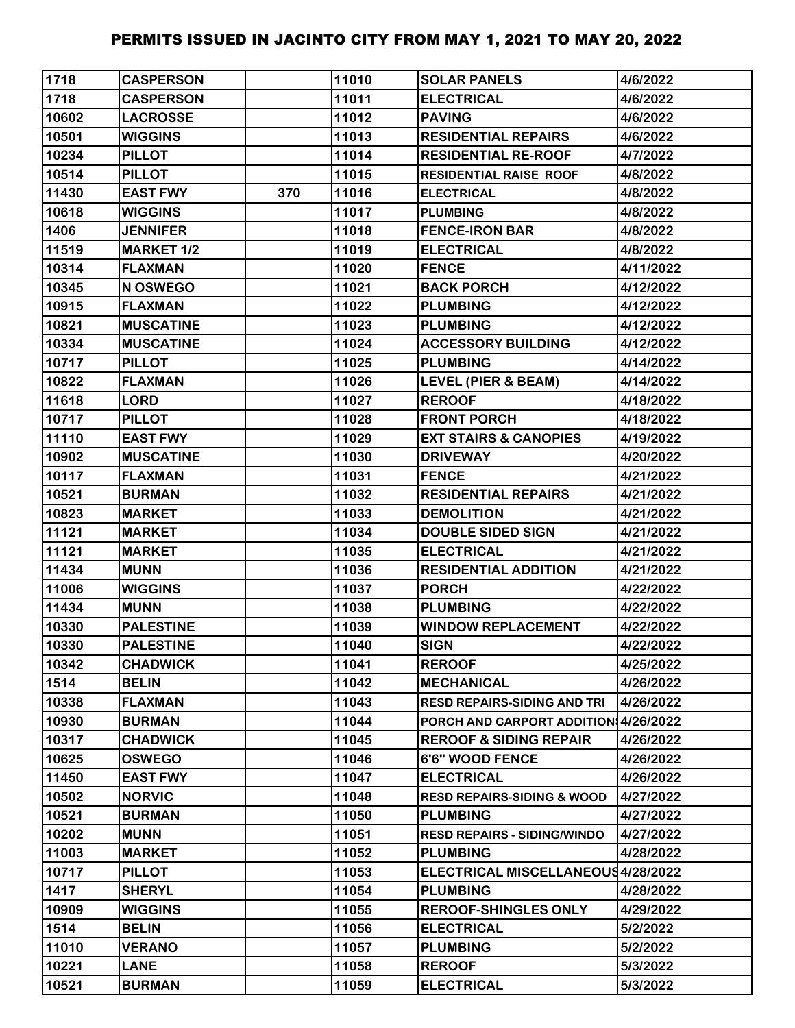| 1718  | <b>CASPERSON</b>  |     | 11010 | <b>SOLAR PANELS</b>                   | 4/6/2022  |
|-------|-------------------|-----|-------|---------------------------------------|-----------|
| 1718  | <b>CASPERSON</b>  |     | 11011 | <b>ELECTRICAL</b>                     | 4/6/2022  |
| 10602 | <b>LACROSSE</b>   |     | 11012 | <b>PAVING</b>                         | 4/6/2022  |
| 10501 | <b>WIGGINS</b>    |     | 11013 | <b>RESIDENTIAL REPAIRS</b>            | 4/6/2022  |
| 10234 | <b>PILLOT</b>     |     | 11014 | <b>RESIDENTIAL RE-ROOF</b>            | 4/7/2022  |
| 10514 | <b>PILLOT</b>     |     | 11015 | <b>RESIDENTIAL RAISE ROOF</b>         | 4/8/2022  |
| 11430 | <b>EAST FWY</b>   | 370 | 11016 | <b>ELECTRICAL</b>                     | 4/8/2022  |
| 10618 | <b>WIGGINS</b>    |     | 11017 | <b>PLUMBING</b>                       | 4/8/2022  |
| 1406  | <b>JENNIFER</b>   |     | 11018 | <b>FENCE-IRON BAR</b>                 | 4/8/2022  |
| 11519 | <b>MARKET 1/2</b> |     | 11019 | <b>ELECTRICAL</b>                     | 4/8/2022  |
| 10314 | <b>FLAXMAN</b>    |     | 11020 | <b>FENCE</b>                          | 4/11/2022 |
| 10345 | N OSWEGO          |     | 11021 | <b>BACK PORCH</b>                     | 4/12/2022 |
| 10915 | <b>FLAXMAN</b>    |     | 11022 | <b>PLUMBING</b>                       | 4/12/2022 |
| 10821 | <b>MUSCATINE</b>  |     | 11023 | <b>PLUMBING</b>                       | 4/12/2022 |
| 10334 | <b>MUSCATINE</b>  |     | 11024 | <b>ACCESSORY BUILDING</b>             | 4/12/2022 |
| 10717 | <b>PILLOT</b>     |     | 11025 | <b>PLUMBING</b>                       | 4/14/2022 |
| 10822 | <b>FLAXMAN</b>    |     | 11026 | <b>LEVEL (PIER &amp; BEAM)</b>        | 4/14/2022 |
| 11618 | <b>LORD</b>       |     | 11027 | <b>REROOF</b>                         | 4/18/2022 |
| 10717 | <b>PILLOT</b>     |     | 11028 | <b>FRONT PORCH</b>                    | 4/18/2022 |
| 11110 | <b>EAST FWY</b>   |     | 11029 | <b>EXT STAIRS &amp; CANOPIES</b>      | 4/19/2022 |
| 10902 | <b>MUSCATINE</b>  |     | 11030 | <b>DRIVEWAY</b>                       | 4/20/2022 |
| 10117 | <b>FLAXMAN</b>    |     | 11031 | <b>FENCE</b>                          | 4/21/2022 |
| 10521 | <b>BURMAN</b>     |     | 11032 | <b>RESIDENTIAL REPAIRS</b>            | 4/21/2022 |
| 10823 | <b>MARKET</b>     |     | 11033 | <b>DEMOLITION</b>                     | 4/21/2022 |
| 11121 | <b>MARKET</b>     |     | 11034 | <b>DOUBLE SIDED SIGN</b>              | 4/21/2022 |
| 11121 | <b>MARKET</b>     |     | 11035 | <b>ELECTRICAL</b>                     | 4/21/2022 |
| 11434 | <b>MUNN</b>       |     | 11036 | <b>RESIDENTIAL ADDITION</b>           | 4/21/2022 |
| 11006 | <b>WIGGINS</b>    |     | 11037 | <b>PORCH</b>                          | 4/22/2022 |
| 11434 | <b>MUNN</b>       |     | 11038 | <b>PLUMBING</b>                       | 4/22/2022 |
| 10330 | <b>PALESTINE</b>  |     | 11039 | <b>WINDOW REPLACEMENT</b>             | 4/22/2022 |
| 10330 | <b>PALESTINE</b>  |     | 11040 | <b>SIGN</b>                           | 4/22/2022 |
| 10342 | <b>CHADWICK</b>   |     | 11041 | <b>REROOF</b>                         | 4/25/2022 |
| 1514  | <b>BELIN</b>      |     | 11042 | <b>MECHANICAL</b>                     | 4/26/2022 |
| 10338 | <b>FLAXMAN</b>    |     | 11043 | <b>RESD REPAIRS-SIDING AND TRI</b>    | 4/26/2022 |
| 10930 | <b>BURMAN</b>     |     | 11044 | PORCH AND CARPORT ADDITION 4/26/2022  |           |
| 10317 | <b>CHADWICK</b>   |     | 11045 | <b>REROOF &amp; SIDING REPAIR</b>     | 4/26/2022 |
| 10625 | <b>OSWEGO</b>     |     | 11046 | 6'6" WOOD FENCE                       | 4/26/2022 |
| 11450 | <b>EAST FWY</b>   |     | 11047 | <b>ELECTRICAL</b>                     | 4/26/2022 |
| 10502 | <b>NORVIC</b>     |     | 11048 | <b>RESD REPAIRS-SIDING &amp; WOOD</b> | 4/27/2022 |
| 10521 | <b>BURMAN</b>     |     | 11050 | <b>PLUMBING</b>                       | 4/27/2022 |
| 10202 | <b>MUNN</b>       |     | 11051 | <b>RESD REPAIRS - SIDING/WINDO</b>    | 4/27/2022 |
| 11003 | <b>MARKET</b>     |     | 11052 | <b>PLUMBING</b>                       | 4/28/2022 |
| 10717 | <b>PILLOT</b>     |     | 11053 | ELECTRICAL MISCELLANEOUS4/28/2022     |           |
| 1417  | <b>SHERYL</b>     |     | 11054 | <b>PLUMBING</b>                       | 4/28/2022 |
| 10909 | <b>WIGGINS</b>    |     | 11055 | <b>REROOF-SHINGLES ONLY</b>           | 4/29/2022 |
| 1514  | <b>BELIN</b>      |     | 11056 | <b>ELECTRICAL</b>                     | 5/2/2022  |
| 11010 | <b>VERANO</b>     |     | 11057 | <b>PLUMBING</b>                       | 5/2/2022  |
| 10221 | <b>LANE</b>       |     | 11058 | <b>REROOF</b>                         | 5/3/2022  |
| 10521 | <b>BURMAN</b>     |     | 11059 | <b>ELECTRICAL</b>                     | 5/3/2022  |